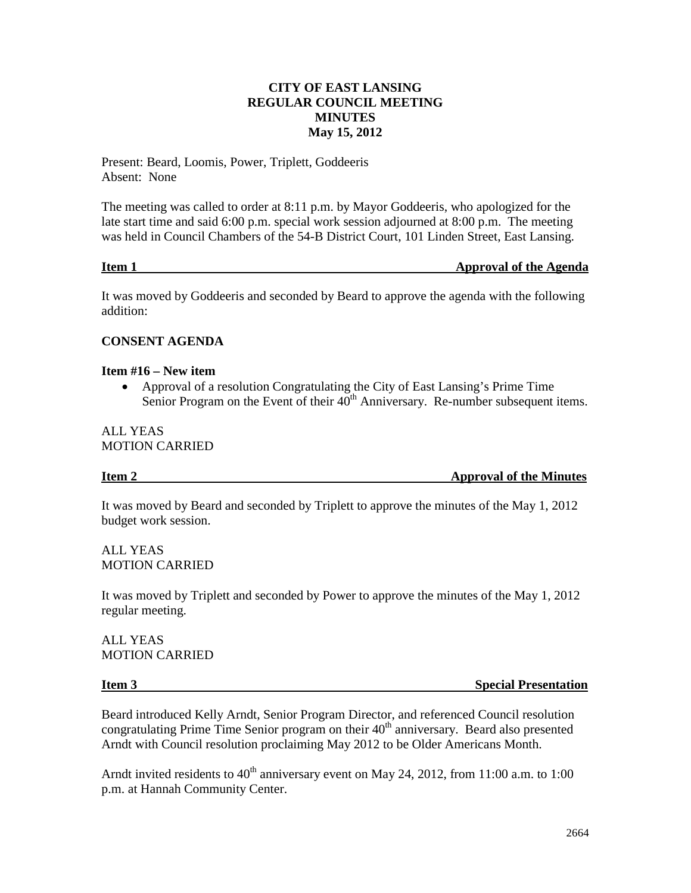#### **CITY OF EAST LANSING REGULAR COUNCIL MEETING MINUTES May 15, 2012**

Present: Beard, Loomis, Power, Triplett, Goddeeris Absent: None

The meeting was called to order at 8:11 p.m. by Mayor Goddeeris, who apologized for the late start time and said 6:00 p.m. special work session adjourned at 8:00 p.m. The meeting was held in Council Chambers of the 54-B District Court, 101 Linden Street, East Lansing.

#### **Item 1** Approval of the Agenda

It was moved by Goddeeris and seconded by Beard to approve the agenda with the following addition:

#### **CONSENT AGENDA**

#### **Item #16 – New item**

• Approval of a resolution Congratulating the City of East Lansing's Prime Time Senior Program on the Event of their  $40<sup>th</sup>$  Anniversary. Re-number subsequent items.

#### ALL YEAS MOTION CARRIED

**Item 2** Approval of the Minutes

It was moved by Beard and seconded by Triplett to approve the minutes of the May 1, 2012 budget work session.

ALL YEAS MOTION CARRIED

It was moved by Triplett and seconded by Power to approve the minutes of the May 1, 2012 regular meeting.

ALL YEAS MOTION CARRIED

**Item 3** Special Presentation

Beard introduced Kelly Arndt, Senior Program Director, and referenced Council resolution congratulating Prime Time Senior program on their  $40<sup>th</sup>$  anniversary. Beard also presented Arndt with Council resolution proclaiming May 2012 to be Older Americans Month.

Arndt invited residents to  $40<sup>th</sup>$  anniversary event on May 24, 2012, from 11:00 a.m. to 1:00 p.m. at Hannah Community Center.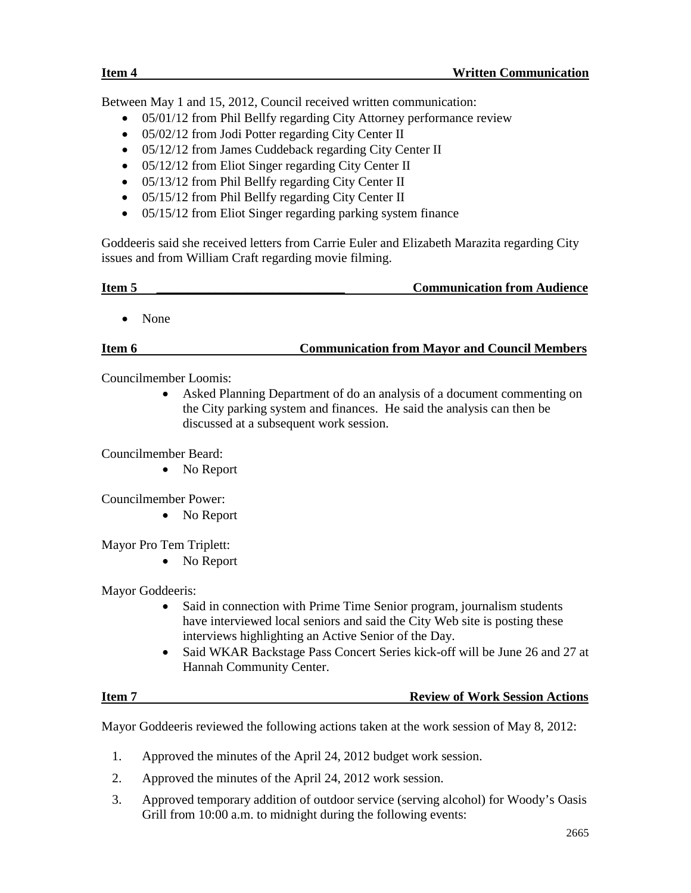Between May 1 and 15, 2012, Council received written communication:

- 05/01/12 from Phil Bellfy regarding City Attorney performance review
- 05/02/12 from Jodi Potter regarding City Center II
- 05/12/12 from James Cuddeback regarding City Center II
- 05/12/12 from Eliot Singer regarding City Center II
- 05/13/12 from Phil Bellfy regarding City Center II
- 05/15/12 from Phil Bellfy regarding City Center II
- 05/15/12 from Eliot Singer regarding parking system finance

Goddeeris said she received letters from Carrie Euler and Elizabeth Marazita regarding City issues and from William Craft regarding movie filming.

| Item 5 | <b>Communication from Audience</b> |
|--------|------------------------------------|
|        |                                    |

• None

#### **Item 6 Communication from Mayor and Council Members**

Councilmember Loomis:

• Asked Planning Department of do an analysis of a document commenting on the City parking system and finances. He said the analysis can then be discussed at a subsequent work session.

Councilmember Beard:

• No Report

Councilmember Power:

• No Report

Mayor Pro Tem Triplett:

• No Report

Mayor Goddeeris:

- Said in connection with Prime Time Senior program, journalism students have interviewed local seniors and said the City Web site is posting these interviews highlighting an Active Senior of the Day.
- Said WKAR Backstage Pass Concert Series kick-off will be June 26 and 27 at Hannah Community Center.

#### **Item 7 Review of Work Session Actions**

Mayor Goddeeris reviewed the following actions taken at the work session of May 8, 2012:

- 1. Approved the minutes of the April 24, 2012 budget work session.
- 2. Approved the minutes of the April 24, 2012 work session.
- 3. Approved temporary addition of outdoor service (serving alcohol) for Woody's Oasis Grill from 10:00 a.m. to midnight during the following events: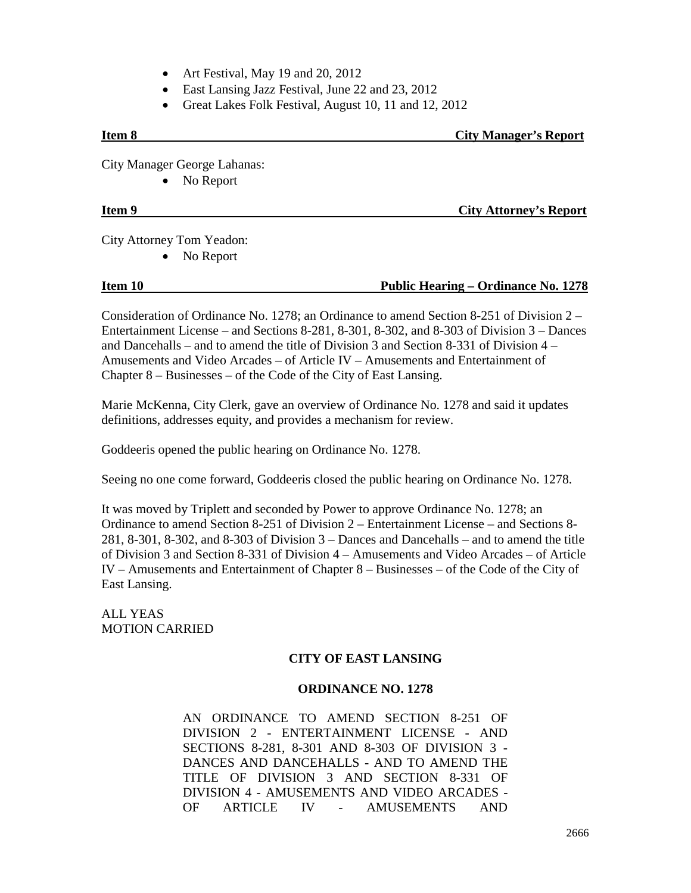- Art Festival, May 19 and 20, 2012
- East Lansing Jazz Festival, June 22 and 23, 2012
- Great Lakes Folk Festival, August 10, 11 and 12, 2012

# **Item 8 City Manager's Report**

City Manager George Lahanas:

• No Report

#### **Item 9** City Attorney's Report

City Attorney Tom Yeadon:

• No Report

#### **Item 10 Public Hearing – Ordinance No. 1278**

Consideration of Ordinance No. 1278; an Ordinance to amend Section 8-251 of Division 2 – Entertainment License – and Sections 8-281, 8-301, 8-302, and 8-303 of Division 3 – Dances and Dancehalls – and to amend the title of Division 3 and Section 8-331 of Division 4 – Amusements and Video Arcades – of Article IV – Amusements and Entertainment of Chapter 8 – Businesses – of the Code of the City of East Lansing.

Marie McKenna, City Clerk, gave an overview of Ordinance No. 1278 and said it updates definitions, addresses equity, and provides a mechanism for review.

Goddeeris opened the public hearing on Ordinance No. 1278.

Seeing no one come forward, Goddeeris closed the public hearing on Ordinance No. 1278.

It was moved by Triplett and seconded by Power to approve Ordinance No. 1278; an Ordinance to amend Section 8-251 of Division 2 – Entertainment License – and Sections 8- 281, 8-301, 8-302, and 8-303 of Division 3 – Dances and Dancehalls – and to amend the title of Division 3 and Section 8-331 of Division 4 – Amusements and Video Arcades – of Article IV – Amusements and Entertainment of Chapter 8 – Businesses – of the Code of the City of East Lansing.

ALL YEAS MOTION CARRIED

#### **CITY OF EAST LANSING**

#### **ORDINANCE NO. 1278**

AN ORDINANCE TO AMEND SECTION 8-251 OF DIVISION 2 - ENTERTAINMENT LICENSE - AND SECTIONS 8-281, 8-301 AND 8-303 OF DIVISION 3 - DANCES AND DANCEHALLS - AND TO AMEND THE TITLE OF DIVISION 3 AND SECTION 8-331 OF DIVISION 4 - AMUSEMENTS AND VIDEO ARCADES - OF ARTICLE IV - AMUSEMENTS AND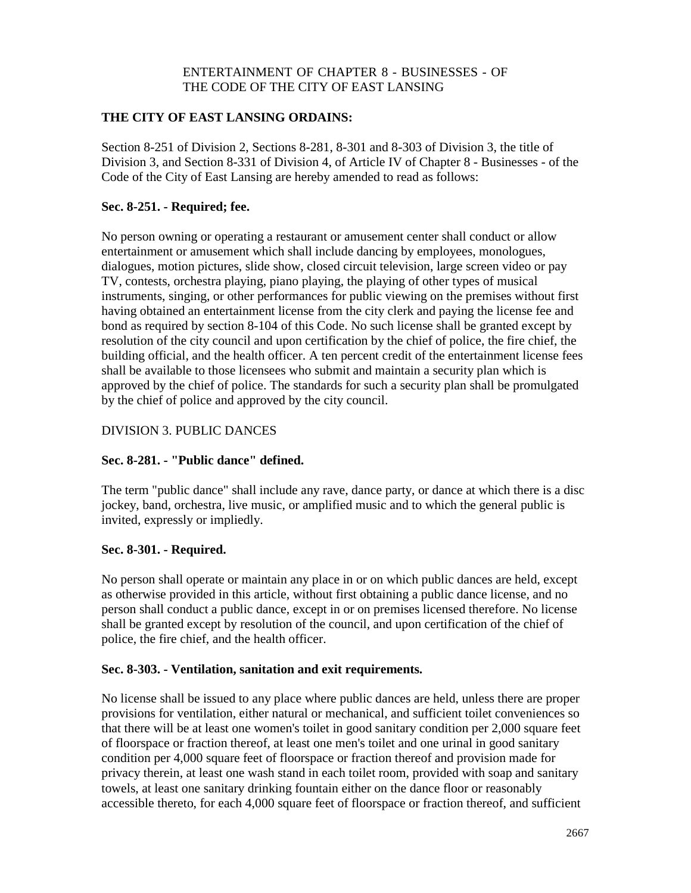#### ENTERTAINMENT OF CHAPTER 8 - BUSINESSES - OF THE CODE OF THE CITY OF EAST LANSING

#### **THE CITY OF EAST LANSING ORDAINS:**

Section 8-251 of Division 2, Sections 8-281, 8-301 and 8-303 of Division 3, the title of Division 3, and Section 8-331 of Division 4, of Article IV of Chapter 8 - Businesses - of the Code of the City of East Lansing are hereby amended to read as follows:

#### **Sec. 8-251. - Required; fee.**

No person owning or operating a restaurant or amusement center shall conduct or allow entertainment or amusement which shall include dancing by employees, monologues, dialogues, motion pictures, slide show, closed circuit television, large screen video or pay TV, contests, orchestra playing, piano playing, the playing of other types of musical instruments, singing, or other performances for public viewing on the premises without first having obtained an entertainment license from the city clerk and paying the license fee and bond as required by section 8-104 of this Code. No such license shall be granted except by resolution of the city council and upon certification by the chief of police, the fire chief, the building official, and the health officer. A ten percent credit of the entertainment license fees shall be available to those licensees who submit and maintain a security plan which is approved by the chief of police. The standards for such a security plan shall be promulgated by the chief of police and approved by the city council.

#### DIVISION 3. PUBLIC DANCES

#### **Sec. 8-281. - "Public dance" defined.**

The term "public dance" shall include any rave, dance party, or dance at which there is a disc jockey, band, orchestra, live music, or amplified music and to which the general public is invited, expressly or impliedly.

#### **Sec. 8-301. - Required.**

No person shall operate or maintain any place in or on which public dances are held, except as otherwise provided in this article, without first obtaining a public dance license, and no person shall conduct a public dance, except in or on premises licensed therefore. No license shall be granted except by resolution of the council, and upon certification of the chief of police, the fire chief, and the health officer.

#### **Sec. 8-303. - Ventilation, sanitation and exit requirements.**

No license shall be issued to any place where public dances are held, unless there are proper provisions for ventilation, either natural or mechanical, and sufficient toilet conveniences so that there will be at least one women's toilet in good sanitary condition per 2,000 square feet of floorspace or fraction thereof, at least one men's toilet and one urinal in good sanitary condition per 4,000 square feet of floorspace or fraction thereof and provision made for privacy therein, at least one wash stand in each toilet room, provided with soap and sanitary towels, at least one sanitary drinking fountain either on the dance floor or reasonably accessible thereto, for each 4,000 square feet of floorspace or fraction thereof, and sufficient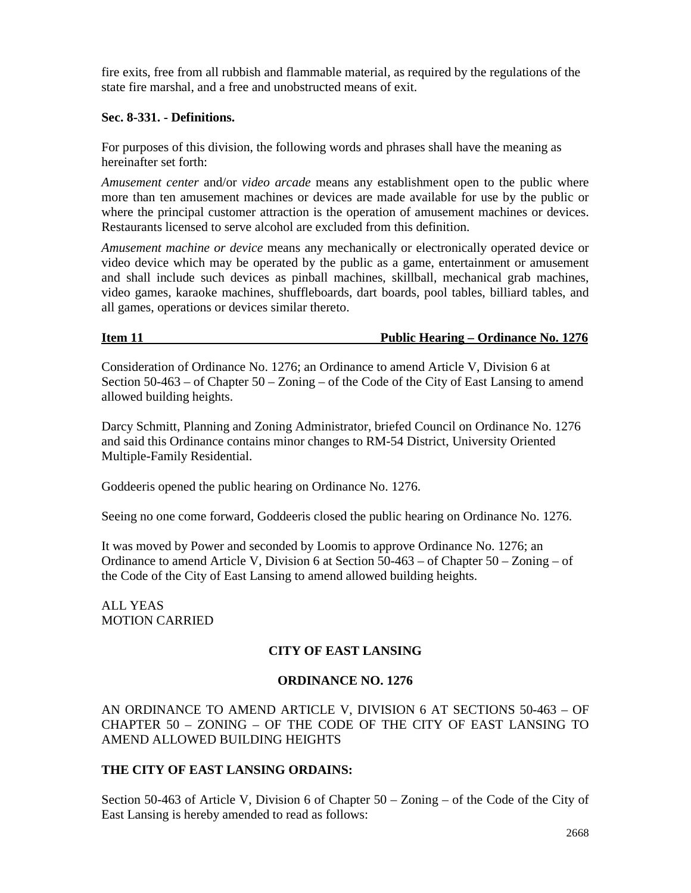fire exits, free from all rubbish and flammable material, as required by the regulations of the state fire marshal, and a free and unobstructed means of exit.

#### **Sec. 8-331. - Definitions.**

For purposes of this division, the following words and phrases shall have the meaning as hereinafter set forth:

*Amusement center* and/or *video arcade* means any establishment open to the public where more than ten amusement machines or devices are made available for use by the public or where the principal customer attraction is the operation of amusement machines or devices. Restaurants licensed to serve alcohol are excluded from this definition.

*Amusement machine or device* means any mechanically or electronically operated device or video device which may be operated by the public as a game, entertainment or amusement and shall include such devices as pinball machines, skillball, mechanical grab machines, video games, karaoke machines, shuffleboards, dart boards, pool tables, billiard tables, and all games, operations or devices similar thereto.

#### **Item 11 Public Hearing – Ordinance No. 1276**

Consideration of Ordinance No. 1276; an Ordinance to amend Article V, Division 6 at Section 50-463 – of Chapter 50 – Zoning – of the Code of the City of East Lansing to amend allowed building heights.

Darcy Schmitt, Planning and Zoning Administrator, briefed Council on Ordinance No. 1276 and said this Ordinance contains minor changes to RM-54 District, University Oriented Multiple-Family Residential.

Goddeeris opened the public hearing on Ordinance No. 1276.

Seeing no one come forward, Goddeeris closed the public hearing on Ordinance No. 1276.

It was moved by Power and seconded by Loomis to approve Ordinance No. 1276; an Ordinance to amend Article V, Division 6 at Section  $50-463$  – of Chapter  $50$  – Zoning – of the Code of the City of East Lansing to amend allowed building heights.

ALL YEAS MOTION CARRIED

#### **CITY OF EAST LANSING**

#### **ORDINANCE NO. 1276**

AN ORDINANCE TO AMEND ARTICLE V, DIVISION 6 AT SECTIONS 50-463 – OF CHAPTER 50 – ZONING – OF THE CODE OF THE CITY OF EAST LANSING TO AMEND ALLOWED BUILDING HEIGHTS

#### **THE CITY OF EAST LANSING ORDAINS:**

Section 50-463 of Article V, Division 6 of Chapter 50 – Zoning – of the Code of the City of East Lansing is hereby amended to read as follows: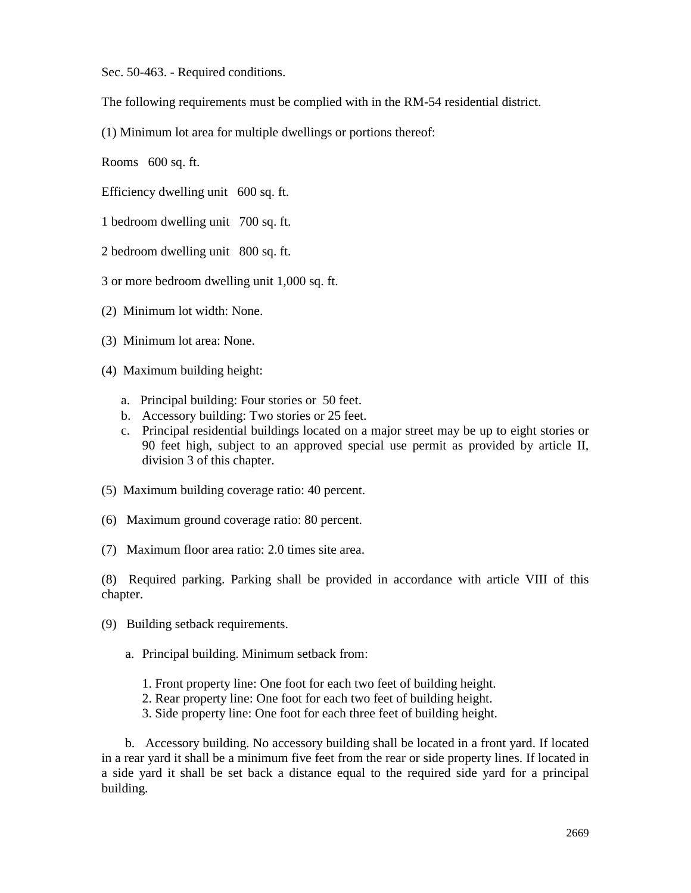Sec. 50-463. - Required conditions.

The following requirements must be complied with in the RM-54 residential district.

(1) Minimum lot area for multiple dwellings or portions thereof:

Rooms 600 sq. ft.

Efficiency dwelling unit 600 sq. ft.

- 1 bedroom dwelling unit 700 sq. ft.
- 2 bedroom dwelling unit 800 sq. ft.
- 3 or more bedroom dwelling unit 1,000 sq. ft.
- (2) Minimum lot width: None.
- (3) Minimum lot area: None.
- (4) Maximum building height:
	- a. Principal building: Four stories or 50 feet.
	- b. Accessory building: Two stories or 25 feet.
	- c. Principal residential buildings located on a major street may be up to eight stories or 90 feet high, subject to an approved special use permit as provided by article II, division 3 of this chapter.
- (5) Maximum building coverage ratio: 40 percent.
- (6) Maximum ground coverage ratio: 80 percent.
- (7) Maximum floor area ratio: 2.0 times site area.

(8) Required parking. Parking shall be provided in accordance with article VIII of this chapter.

- (9) Building setback requirements.
	- a. Principal building. Minimum setback from:
		- 1. Front property line: One foot for each two feet of building height.
		- 2. Rear property line: One foot for each two feet of building height.
		- 3. Side property line: One foot for each three feet of building height.

b. Accessory building. No accessory building shall be located in a front yard. If located in a rear yard it shall be a minimum five feet from the rear or side property lines. If located in a side yard it shall be set back a distance equal to the required side yard for a principal building.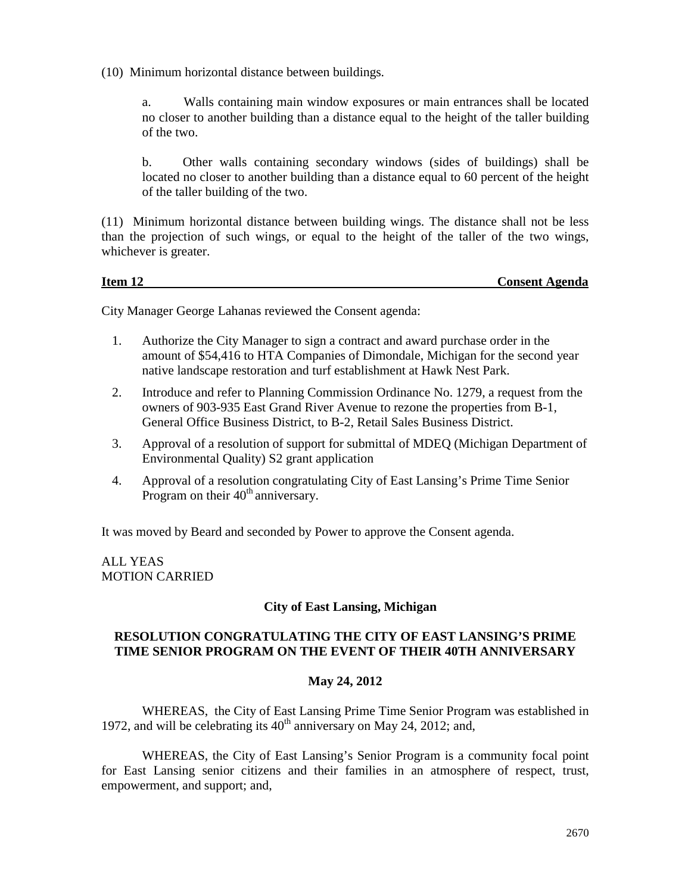(10) Minimum horizontal distance between buildings.

a. Walls containing main window exposures or main entrances shall be located no closer to another building than a distance equal to the height of the taller building of the two.

b. Other walls containing secondary windows (sides of buildings) shall be located no closer to another building than a distance equal to 60 percent of the height of the taller building of the two.

(11) Minimum horizontal distance between building wings. The distance shall not be less than the projection of such wings, or equal to the height of the taller of the two wings, whichever is greater.

**Item 12 Consent Agenda**

City Manager George Lahanas reviewed the Consent agenda:

- 1. Authorize the City Manager to sign a contract and award purchase order in the amount of \$54,416 to HTA Companies of Dimondale, Michigan for the second year native landscape restoration and turf establishment at Hawk Nest Park.
- 2. Introduce and refer to Planning Commission Ordinance No. 1279, a request from the owners of 903-935 East Grand River Avenue to rezone the properties from B-1, General Office Business District, to B-2, Retail Sales Business District.
- 3. Approval of a resolution of support for submittal of MDEQ (Michigan Department of Environmental Quality) S2 grant application
- 4. Approval of a resolution congratulating City of East Lansing's Prime Time Senior Program on their  $40<sup>th</sup>$  anniversary.

It was moved by Beard and seconded by Power to approve the Consent agenda.

ALL YEAS MOTION CARRIED

#### **City of East Lansing, Michigan**

#### **RESOLUTION CONGRATULATING THE CITY OF EAST LANSING'S PRIME TIME SENIOR PROGRAM ON THE EVENT OF THEIR 40TH ANNIVERSARY**

#### **May 24, 2012**

WHEREAS, the City of East Lansing Prime Time Senior Program was established in 1972, and will be celebrating its  $40<sup>th</sup>$  anniversary on May 24, 2012; and,

WHEREAS, the City of East Lansing's Senior Program is a community focal point for East Lansing senior citizens and their families in an atmosphere of respect, trust, empowerment, and support; and,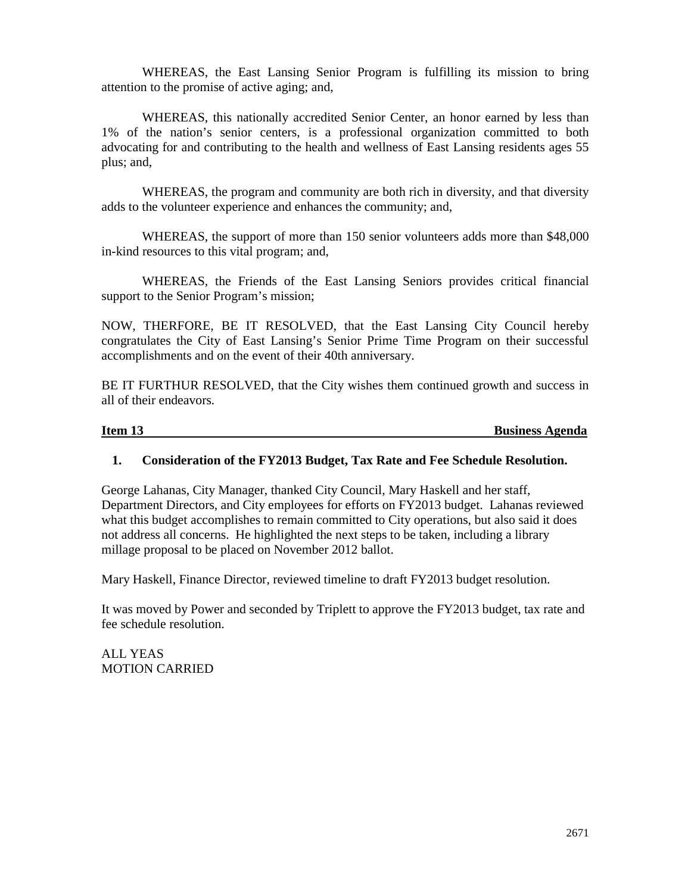WHEREAS, the East Lansing Senior Program is fulfilling its mission to bring attention to the promise of active aging; and,

WHEREAS, this nationally accredited Senior Center, an honor earned by less than 1% of the nation's senior centers, is a professional organization committed to both advocating for and contributing to the health and wellness of East Lansing residents ages 55 plus; and,

WHEREAS, the program and community are both rich in diversity, and that diversity adds to the volunteer experience and enhances the community; and,

WHEREAS, the support of more than 150 senior volunteers adds more than \$48,000 in-kind resources to this vital program; and,

WHEREAS, the Friends of the East Lansing Seniors provides critical financial support to the Senior Program's mission;

NOW, THERFORE, BE IT RESOLVED, that the East Lansing City Council hereby congratulates the City of East Lansing's Senior Prime Time Program on their successful accomplishments and on the event of their 40th anniversary.

BE IT FURTHUR RESOLVED, that the City wishes them continued growth and success in all of their endeavors.

**Item 13** Business Agenda

#### **1. Consideration of the FY2013 Budget, Tax Rate and Fee Schedule Resolution.**

George Lahanas, City Manager, thanked City Council, Mary Haskell and her staff, Department Directors, and City employees for efforts on FY2013 budget. Lahanas reviewed what this budget accomplishes to remain committed to City operations, but also said it does not address all concerns. He highlighted the next steps to be taken, including a library millage proposal to be placed on November 2012 ballot.

Mary Haskell, Finance Director, reviewed timeline to draft FY2013 budget resolution.

It was moved by Power and seconded by Triplett to approve the FY2013 budget, tax rate and fee schedule resolution.

ALL YEAS MOTION CARRIED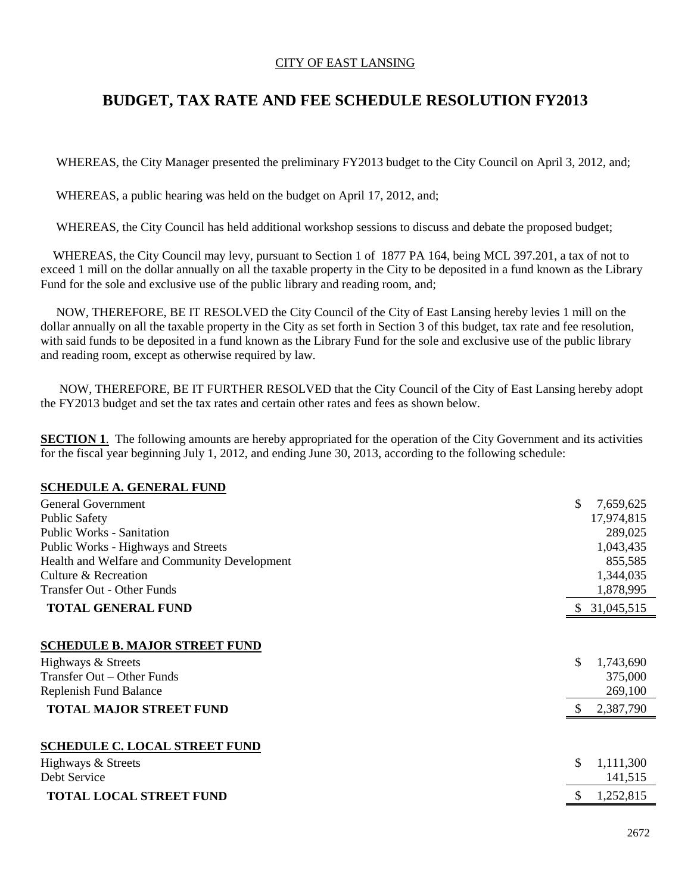#### CITY OF EAST LANSING

## **BUDGET, TAX RATE AND FEE SCHEDULE RESOLUTION FY2013**

WHEREAS, the City Manager presented the preliminary FY2013 budget to the City Council on April 3, 2012, and;

WHEREAS, a public hearing was held on the budget on April 17, 2012, and;

WHEREAS, the City Council has held additional workshop sessions to discuss and debate the proposed budget;

 WHEREAS, the City Council may levy, pursuant to Section 1 of 1877 PA 164, being MCL 397.201, a tax of not to exceed 1 mill on the dollar annually on all the taxable property in the City to be deposited in a fund known as the Library Fund for the sole and exclusive use of the public library and reading room, and;

 NOW, THEREFORE, BE IT RESOLVED the City Council of the City of East Lansing hereby levies 1 mill on the dollar annually on all the taxable property in the City as set forth in Section 3 of this budget, tax rate and fee resolution, with said funds to be deposited in a fund known as the Library Fund for the sole and exclusive use of the public library and reading room, except as otherwise required by law.

 NOW, THEREFORE, BE IT FURTHER RESOLVED that the City Council of the City of East Lansing hereby adopt the FY2013 budget and set the tax rates and certain other rates and fees as shown below.

**SECTION 1**. The following amounts are hereby appropriated for the operation of the City Government and its activities for the fiscal year beginning July 1, 2012, and ending June 30, 2013, according to the following schedule:

#### **SCHEDULE A. GENERAL FUND**

| <b>General Government</b>                    | \$<br>7,659,625            |
|----------------------------------------------|----------------------------|
| <b>Public Safety</b>                         | 17,974,815                 |
| <b>Public Works - Sanitation</b>             | 289,025                    |
| Public Works - Highways and Streets          | 1,043,435                  |
| Health and Welfare and Community Development | 855,585                    |
| Culture & Recreation                         | 1,344,035                  |
| Transfer Out - Other Funds                   | 1,878,995                  |
| <b>TOTAL GENERAL FUND</b>                    | \$31,045,515               |
| <b>SCHEDULE B. MAJOR STREET FUND</b>         |                            |
| Highways & Streets                           | \$<br>1,743,690            |
| Transfer Out – Other Funds                   | 375,000                    |
| Replenish Fund Balance                       | 269,100                    |
| <b>TOTAL MAJOR STREET FUND</b>               | 2,387,790<br><sup>\$</sup> |
|                                              |                            |
| <b>SCHEDULE C. LOCAL STREET FUND</b>         |                            |
| Highways & Streets                           | \$<br>1,111,300            |
| Debt Service                                 | 141,515                    |
| <b>TOTAL LOCAL STREET FUND</b>               | 1,252,815                  |
|                                              |                            |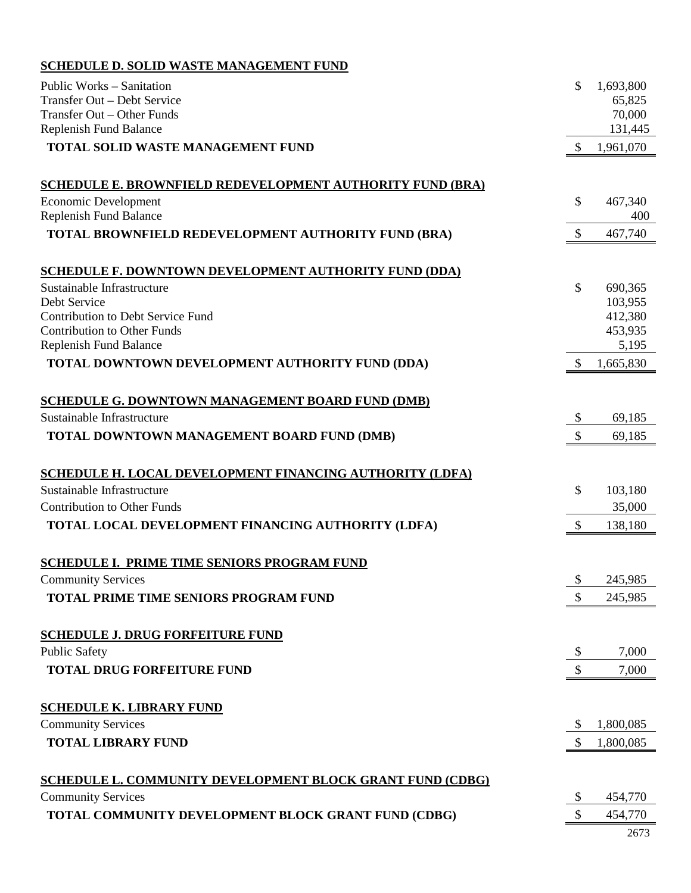### **SCHEDULE D. SOLID WASTE MANAGEMENT FUND**

| Public Works - Sanitation                                                      | \$                         | 1,693,800        |
|--------------------------------------------------------------------------------|----------------------------|------------------|
| Transfer Out - Debt Service                                                    |                            | 65,825           |
| Transfer Out - Other Funds                                                     |                            | 70,000           |
| <b>Replenish Fund Balance</b>                                                  |                            | 131,445          |
| <b>TOTAL SOLID WASTE MANAGEMENT FUND</b>                                       | $\boldsymbol{\mathsf{S}}$  | 1,961,070        |
| <b>SCHEDULE E. BROWNFIELD REDEVELOPMENT AUTHORITY FUND (BRA)</b>               |                            |                  |
| Economic Development                                                           | \$                         | 467,340          |
| Replenish Fund Balance                                                         |                            | 400              |
| TOTAL BROWNFIELD REDEVELOPMENT AUTHORITY FUND (BRA)                            | $\mathcal{S}$              | 467,740          |
| <b>SCHEDULE F. DOWNTOWN DEVELOPMENT AUTHORITY FUND (DDA)</b>                   |                            |                  |
| Sustainable Infrastructure                                                     | \$                         | 690,365          |
| Debt Service                                                                   |                            | 103,955          |
| <b>Contribution to Debt Service Fund</b><br><b>Contribution to Other Funds</b> |                            | 412,380          |
| Replenish Fund Balance                                                         |                            | 453,935<br>5,195 |
| TOTAL DOWNTOWN DEVELOPMENT AUTHORITY FUND (DDA)                                | $\mathcal{S}$              | 1,665,830        |
|                                                                                |                            |                  |
| <b>SCHEDULE G. DOWNTOWN MANAGEMENT BOARD FUND (DMB)</b>                        |                            |                  |
| Sustainable Infrastructure                                                     | \$                         | 69,185           |
| TOTAL DOWNTOWN MANAGEMENT BOARD FUND (DMB)                                     | $\mathcal{S}$              | 69,185           |
| <b>SCHEDULE H. LOCAL DEVELOPMENT FINANCING AUTHORITY (LDFA)</b>                |                            |                  |
| Sustainable Infrastructure                                                     | \$                         | 103,180          |
| <b>Contribution to Other Funds</b>                                             |                            | 35,000           |
| TOTAL LOCAL DEVELOPMENT FINANCING AUTHORITY (LDFA)                             | $\boldsymbol{\mathsf{S}}$  | 138,180          |
| <b>SCHEDULE I. PRIME TIME SENIORS PROGRAM FUND</b>                             |                            |                  |
| <b>Community Services</b>                                                      | \$                         | 245,985          |
| TOTAL PRIME TIME SENIORS PROGRAM FUND                                          | \$                         | 245,985          |
|                                                                                |                            |                  |
| <b>SCHEDULE J. DRUG FORFEITURE FUND</b>                                        |                            |                  |
| <b>Public Safety</b>                                                           | $\boldsymbol{\mathsf{\$}}$ | 7,000            |
| <b>TOTAL DRUG FORFEITURE FUND</b>                                              | \$                         | 7,000            |
| <b>SCHEDULE K. LIBRARY FUND</b>                                                |                            |                  |
| <b>Community Services</b>                                                      | \$                         | 1,800,085        |
| <b>TOTAL LIBRARY FUND</b>                                                      | \$                         | 1,800,085        |
|                                                                                |                            |                  |
| <b>SCHEDULE L. COMMUNITY DEVELOPMENT BLOCK GRANT FUND (CDBG)</b>               |                            |                  |
| <b>Community Services</b>                                                      | \$                         | 454,770          |
| TOTAL COMMUNITY DEVELOPMENT BLOCK GRANT FUND (CDBG)                            | \$                         | 454,770          |
|                                                                                |                            | 2673             |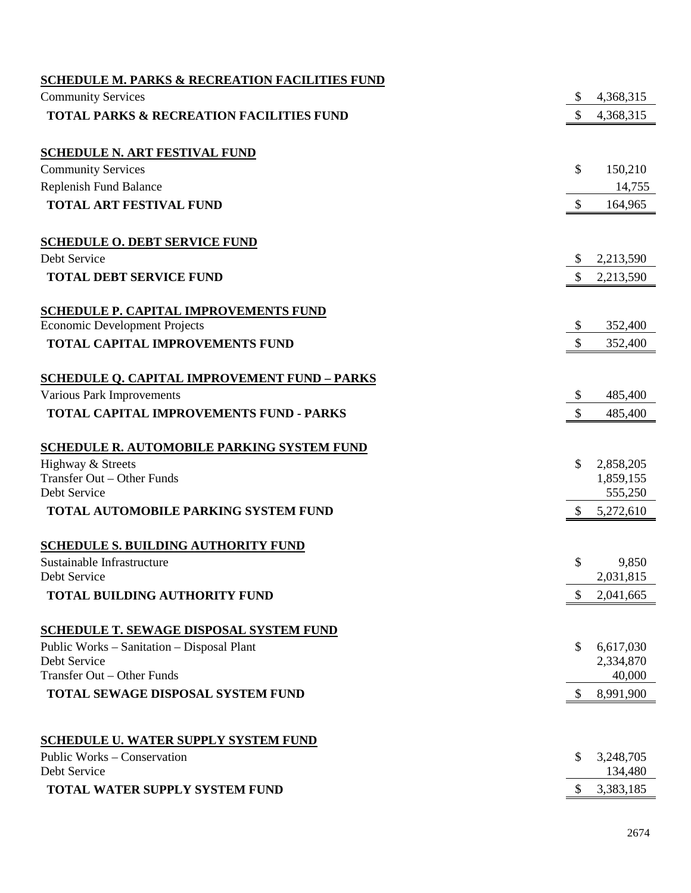| <b>SCHEDULE M. PARKS &amp; RECREATION FACILITIES FUND</b> |                           |           |
|-----------------------------------------------------------|---------------------------|-----------|
| <b>Community Services</b>                                 | \$                        | 4,368,315 |
| <b>TOTAL PARKS &amp; RECREATION FACILITIES FUND</b>       | $\mathcal{S}$             | 4,368,315 |
| <b>SCHEDULE N. ART FESTIVAL FUND</b>                      |                           |           |
| <b>Community Services</b>                                 | \$                        | 150,210   |
| Replenish Fund Balance                                    |                           | 14,755    |
| <b>TOTAL ART FESTIVAL FUND</b>                            | \$                        | 164,965   |
| <b>SCHEDULE O. DEBT SERVICE FUND</b>                      |                           |           |
| Debt Service                                              | \$                        | 2,213,590 |
| <b>TOTAL DEBT SERVICE FUND</b>                            | $\mathcal{S}$             | 2,213,590 |
| <b>SCHEDULE P. CAPITAL IMPROVEMENTS FUND</b>              |                           |           |
| <b>Economic Development Projects</b>                      | $\boldsymbol{\mathsf{S}}$ | 352,400   |
| <b>TOTAL CAPITAL IMPROVEMENTS FUND</b>                    | $\boldsymbol{\mathsf{S}}$ | 352,400   |
| <b>SCHEDULE Q. CAPITAL IMPROVEMENT FUND - PARKS</b>       |                           |           |
| Various Park Improvements                                 | \$                        | 485,400   |
| TOTAL CAPITAL IMPROVEMENTS FUND - PARKS                   | $\mathbb{S}$              | 485,400   |
| <b>SCHEDULE R. AUTOMOBILE PARKING SYSTEM FUND</b>         |                           |           |
| Highway & Streets                                         | $\mathcal{S}$             | 2,858,205 |
| Transfer Out - Other Funds                                |                           | 1,859,155 |
| Debt Service                                              |                           | 555,250   |
| TOTAL AUTOMOBILE PARKING SYSTEM FUND                      | $\frac{1}{2}$             | 5,272,610 |
| <b>SCHEDULE S. BUILDING AUTHORITY FUND</b>                |                           |           |
| Sustainable Infrastructure                                | \$                        | 9,850     |
| Debt Service                                              |                           | 2,031,815 |
| <b>TOTAL BUILDING AUTHORITY FUND</b>                      | $\mathbb{S}$              | 2,041,665 |
| <b>SCHEDULE T. SEWAGE DISPOSAL SYSTEM FUND</b>            |                           |           |
| Public Works – Sanitation – Disposal Plant                | \$                        | 6,617,030 |
| Debt Service                                              |                           | 2,334,870 |
| Transfer Out - Other Funds                                |                           | 40,000    |
| TOTAL SEWAGE DISPOSAL SYSTEM FUND                         | \$                        | 8,991,900 |
| <b>SCHEDULE U. WATER SUPPLY SYSTEM FUND</b>               |                           |           |
| Public Works – Conservation                               | S                         | 3,248,705 |
| Debt Service                                              |                           | 134,480   |
| <b>TOTAL WATER SUPPLY SYSTEM FUND</b>                     | <sup>S</sup>              | 3,383,185 |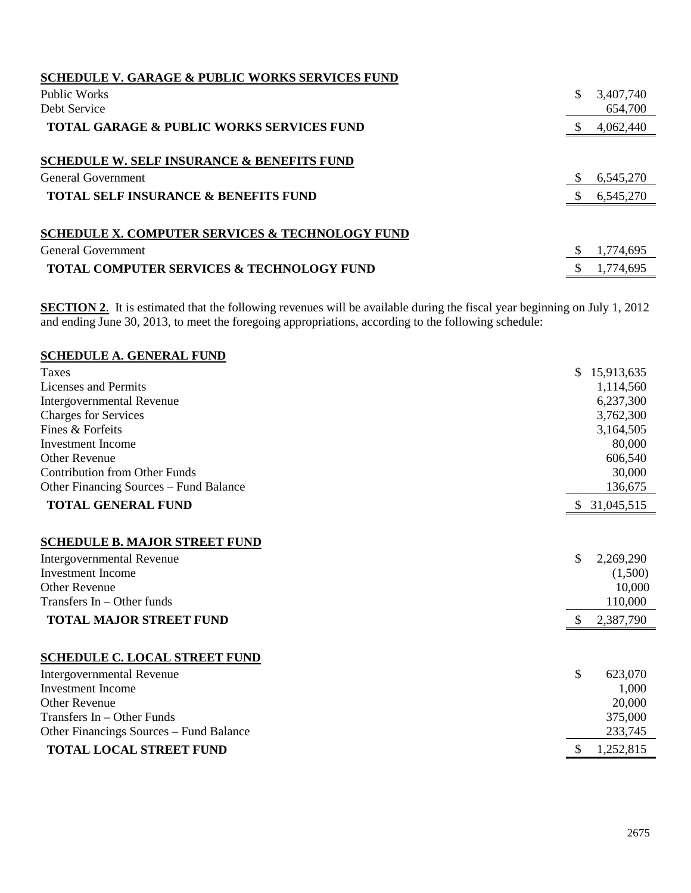| <b>SCHEDULE V. GARAGE &amp; PUBLIC WORKS SERVICES FUND</b> |           |
|------------------------------------------------------------|-----------|
| Public Works                                               | 3,407,740 |
| Debt Service                                               | 654,700   |
| <b>TOTAL GARAGE &amp; PUBLIC WORKS SERVICES FUND</b>       | 4,062,440 |
| <b>SCHEDULE W. SELF INSURANCE &amp; BENEFITS FUND</b>      |           |
| General Government                                         | 6,545,270 |
| <b>TOTAL SELF INSURANCE &amp; BENEFITS FUND</b>            | 6,545,270 |
|                                                            |           |
| <b>SCHEDULE X. COMPUTER SERVICES &amp; TECHNOLOGY FUND</b> |           |
| General Government                                         | 1,774,695 |
| <b>TOTAL COMPUTER SERVICES &amp; TECHNOLOGY FUND</b>       | 1,774,695 |

**SECTION 2.** It is estimated that the following revenues will be available during the fiscal year beginning on July 1, 2012 and ending June 30, 2013, to meet the foregoing appropriations, according to the following schedule:

| <b>SCHEDULE A. GENERAL FUND</b>                                                                                                                     |               |                                           |
|-----------------------------------------------------------------------------------------------------------------------------------------------------|---------------|-------------------------------------------|
| Taxes                                                                                                                                               |               | \$15,913,635                              |
| <b>Licenses and Permits</b>                                                                                                                         |               | 1,114,560                                 |
| Intergovernmental Revenue                                                                                                                           |               | 6,237,300                                 |
| <b>Charges for Services</b>                                                                                                                         |               | 3,762,300                                 |
| Fines & Forfeits                                                                                                                                    |               | 3,164,505                                 |
| <b>Investment</b> Income                                                                                                                            |               | 80,000                                    |
| <b>Other Revenue</b>                                                                                                                                |               | 606,540                                   |
| <b>Contribution from Other Funds</b>                                                                                                                |               | 30,000                                    |
| Other Financing Sources – Fund Balance                                                                                                              |               | 136,675                                   |
| <b>TOTAL GENERAL FUND</b>                                                                                                                           | <sup>S</sup>  | 31,045,515                                |
| <b>SCHEDULE B. MAJOR STREET FUND</b><br>Intergovernmental Revenue<br><b>Investment Income</b><br><b>Other Revenue</b><br>Transfers In - Other funds | \$            | 2,269,290<br>(1,500)<br>10,000<br>110,000 |
| <b>TOTAL MAJOR STREET FUND</b>                                                                                                                      | $\mathbb{S}$  | 2,387,790                                 |
| <b>SCHEDULE C. LOCAL STREET FUND</b>                                                                                                                |               |                                           |
| <b>Intergovernmental Revenue</b>                                                                                                                    | \$            | 623,070                                   |
| <b>Investment Income</b>                                                                                                                            |               | 1,000                                     |
| Other Revenue                                                                                                                                       |               | 20,000                                    |
| Transfers $In - Other Funds$                                                                                                                        |               | 375,000                                   |
| Other Financings Sources - Fund Balance                                                                                                             |               | 233,745                                   |
| <b>TOTAL LOCAL STREET FUND</b>                                                                                                                      | <sup>\$</sup> | 1,252,815                                 |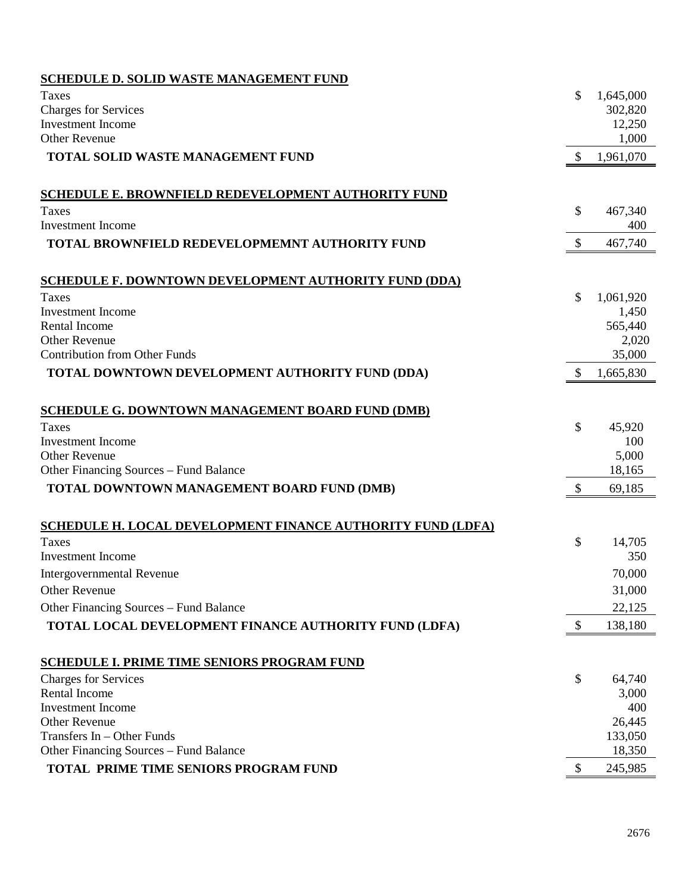| <b>SCHEDULE D. SOLID WASTE MANAGEMENT FUND</b>               |               |                |
|--------------------------------------------------------------|---------------|----------------|
| Taxes                                                        | \$            | 1,645,000      |
| <b>Charges for Services</b>                                  |               | 302,820        |
| <b>Investment Income</b>                                     |               | 12,250         |
| <b>Other Revenue</b>                                         |               | 1,000          |
| <b>TOTAL SOLID WASTE MANAGEMENT FUND</b>                     | $\mathbb{S}$  | 1,961,070      |
|                                                              |               |                |
| <b>SCHEDULE E. BROWNFIELD REDEVELOPMENT AUTHORITY FUND</b>   |               |                |
| Taxes<br><b>Investment Income</b>                            | \$            | 467,340<br>400 |
|                                                              |               |                |
| <b>TOTAL BROWNFIELD REDEVELOPMEMNT AUTHORITY FUND</b>        | \$            | 467,740        |
| <b>SCHEDULE F. DOWNTOWN DEVELOPMENT AUTHORITY FUND (DDA)</b> |               |                |
| Taxes                                                        | \$            | 1,061,920      |
| <b>Investment</b> Income                                     |               | 1,450          |
| Rental Income                                                |               | 565,440        |
| <b>Other Revenue</b>                                         |               | 2,020          |
| <b>Contribution from Other Funds</b>                         |               | 35,000         |
| TOTAL DOWNTOWN DEVELOPMENT AUTHORITY FUND (DDA)              | S             | 1,665,830      |
| <b>SCHEDULE G. DOWNTOWN MANAGEMENT BOARD FUND (DMB)</b>      |               |                |
| Taxes                                                        | \$            | 45,920         |
| <b>Investment Income</b>                                     |               | 100            |
| Other Revenue                                                |               | 5,000          |
| Other Financing Sources – Fund Balance                       |               | 18,165         |
| TOTAL DOWNTOWN MANAGEMENT BOARD FUND (DMB)                   | $\mathcal{S}$ | 69,185         |
| SCHEDULE H. LOCAL DEVELOPMENT FINANCE AUTHORITY FUND (LDFA)  |               |                |
| Taxes                                                        | \$            | 14,705         |
| <b>Investment Income</b>                                     |               | 350            |
| <b>Intergovernmental Revenue</b>                             |               | 70,000         |
| <b>Other Revenue</b>                                         |               | 31,000         |
| Other Financing Sources - Fund Balance                       |               | 22,125         |
| <b>TOTAL LOCAL DEVELOPMENT FINANCE AUTHORITY FUND (LDFA)</b> | \$            | 138,180        |
|                                                              |               |                |
| <b>SCHEDULE I. PRIME TIME SENIORS PROGRAM FUND</b>           |               |                |
| <b>Charges for Services</b>                                  | \$            | 64,740         |
| Rental Income                                                |               | 3,000          |
| <b>Investment</b> Income<br><b>Other Revenue</b>             |               | 400<br>26,445  |
| Transfers In - Other Funds                                   |               | 133,050        |
| Other Financing Sources - Fund Balance                       |               | 18,350         |
| TOTAL PRIME TIME SENIORS PROGRAM FUND                        | \$            | 245,985        |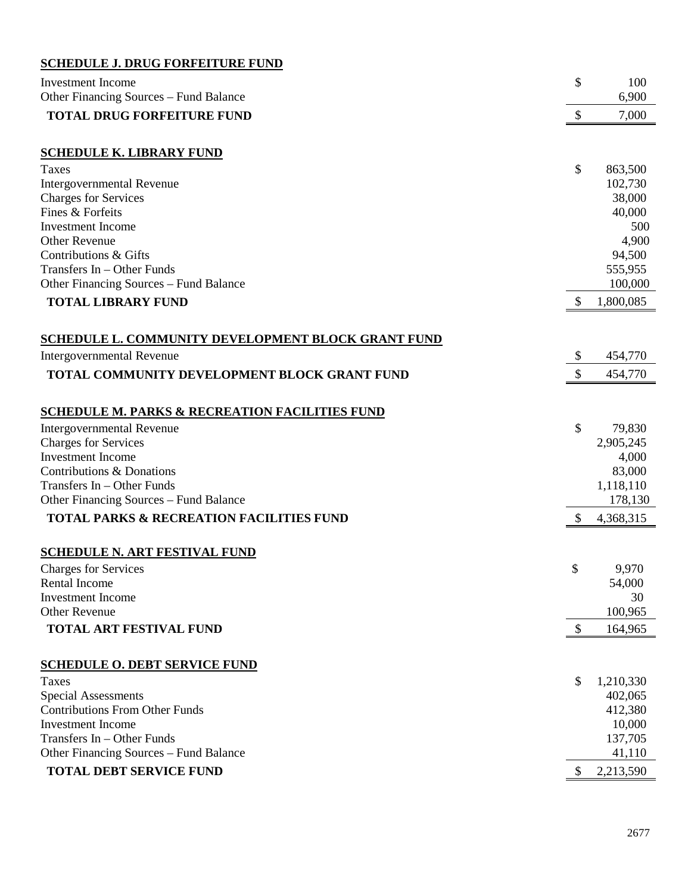### **SCHEDULE J. DRUG FORFEITURE FUND**

| <b>Investment</b> Income                                  | \$                        | 100               |
|-----------------------------------------------------------|---------------------------|-------------------|
| Other Financing Sources – Fund Balance                    |                           | 6,900             |
| <b>TOTAL DRUG FORFEITURE FUND</b>                         | $\boldsymbol{\mathsf{S}}$ | 7,000             |
|                                                           |                           |                   |
| <b>SCHEDULE K. LIBRARY FUND</b>                           |                           |                   |
| Taxes                                                     | \$                        | 863,500           |
| <b>Intergovernmental Revenue</b>                          |                           | 102,730           |
| <b>Charges for Services</b>                               |                           | 38,000            |
| Fines & Forfeits                                          |                           | 40,000            |
| <b>Investment</b> Income                                  |                           | 500               |
| <b>Other Revenue</b><br>Contributions & Gifts             |                           | 4,900             |
| Transfers In - Other Funds                                |                           | 94,500<br>555,955 |
|                                                           |                           | 100,000           |
| Other Financing Sources - Fund Balance                    |                           |                   |
| <b>TOTAL LIBRARY FUND</b>                                 | S                         | 1,800,085         |
|                                                           |                           |                   |
| <b>SCHEDULE L. COMMUNITY DEVELOPMENT BLOCK GRANT FUND</b> |                           |                   |
| Intergovernmental Revenue                                 | \$                        | 454,770           |
| TOTAL COMMUNITY DEVELOPMENT BLOCK GRANT FUND              | $\mathcal{S}$             | 454,770           |
|                                                           |                           |                   |
| <b>SCHEDULE M. PARKS &amp; RECREATION FACILITIES FUND</b> |                           |                   |
| Intergovernmental Revenue                                 | \$                        | 79,830            |
| <b>Charges for Services</b>                               |                           | 2,905,245         |
| <b>Investment Income</b>                                  |                           | 4,000             |
| Contributions & Donations                                 |                           | 83,000            |
| Transfers In - Other Funds                                |                           | 1,118,110         |
| Other Financing Sources - Fund Balance                    |                           | 178,130           |
| <b>TOTAL PARKS &amp; RECREATION FACILITIES FUND</b>       | $\mathcal{S}$             | 4,368,315         |
|                                                           |                           |                   |
| <b>SCHEDULE N. ART FESTIVAL FUND</b>                      |                           |                   |
| <b>Charges for Services</b>                               | \$                        | 9,970             |
| Rental Income                                             |                           | 54,000            |
| <b>Investment</b> Income                                  |                           | 30                |
| <b>Other Revenue</b>                                      |                           | 100,965           |
| <b>TOTAL ART FESTIVAL FUND</b>                            | $\mathcal{S}$             | 164,965           |
|                                                           |                           |                   |
| <b>SCHEDULE O. DEBT SERVICE FUND</b>                      |                           |                   |
| Taxes                                                     | \$                        | 1,210,330         |
| Special Assessments                                       |                           | 402,065           |
| <b>Contributions From Other Funds</b>                     |                           | 412,380           |
| <b>Investment Income</b>                                  |                           | 10,000            |
| Transfers In - Other Funds                                |                           | 137,705           |
| Other Financing Sources - Fund Balance                    |                           | 41,110            |
| <b>TOTAL DEBT SERVICE FUND</b>                            | \$                        | 2,213,590         |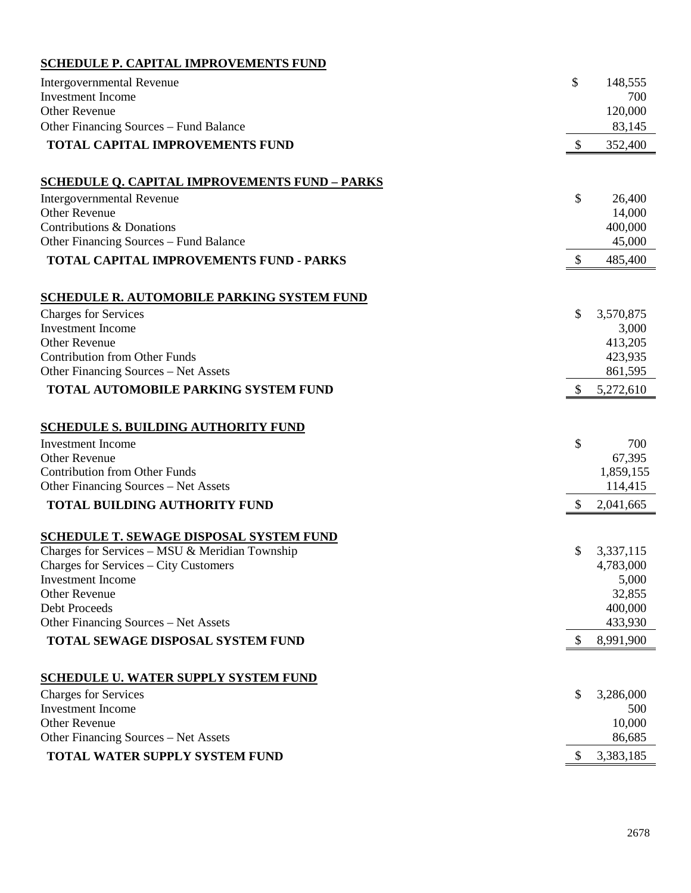### **SCHEDULE P. CAPITAL IMPROVEMENTS FUND**

| <b>Intergovernmental Revenue</b>                     | \$            | 148,555            |
|------------------------------------------------------|---------------|--------------------|
| <b>Investment</b> Income                             |               | 700                |
| <b>Other Revenue</b>                                 |               | 120,000            |
| Other Financing Sources - Fund Balance               |               | 83,145             |
| TOTAL CAPITAL IMPROVEMENTS FUND                      | \$            | 352,400            |
| <b>SCHEDULE Q. CAPITAL IMPROVEMENTS FUND - PARKS</b> |               |                    |
| Intergovernmental Revenue                            | \$            | 26,400             |
| <b>Other Revenue</b>                                 |               | 14,000             |
| Contributions & Donations                            |               | 400,000            |
| Other Financing Sources – Fund Balance               |               | 45,000             |
| <b>TOTAL CAPITAL IMPROVEMENTS FUND - PARKS</b>       | $\mathcal{S}$ | 485,400            |
| <b>SCHEDULE R. AUTOMOBILE PARKING SYSTEM FUND</b>    |               |                    |
| <b>Charges for Services</b>                          | \$            | 3,570,875          |
| <b>Investment Income</b>                             |               | 3,000              |
| <b>Other Revenue</b>                                 |               | 413,205            |
| <b>Contribution from Other Funds</b>                 |               | 423,935            |
| Other Financing Sources - Net Assets                 |               | 861,595            |
| TOTAL AUTOMOBILE PARKING SYSTEM FUND                 | <sup>S</sup>  | 5,272,610          |
|                                                      |               |                    |
| <b>SCHEDULE S. BUILDING AUTHORITY FUND</b>           |               |                    |
| <b>Investment Income</b><br><b>Other Revenue</b>     | \$            | 700<br>67,395      |
| <b>Contribution from Other Funds</b>                 |               | 1,859,155          |
| Other Financing Sources - Net Assets                 |               | 114,415            |
|                                                      |               |                    |
| <b>TOTAL BUILDING AUTHORITY FUND</b>                 | \$            | 2,041,665          |
| <b>SCHEDULE T. SEWAGE DISPOSAL SYSTEM FUND</b>       |               |                    |
| Charges for Services - MSU & Meridian Township       | \$            | 3,337,115          |
| Charges for Services – City Customers                |               | 4,783,000<br>5,000 |
| Investment Income<br><b>Other Revenue</b>            |               | 32,855             |
| Debt Proceeds                                        |               | 400,000            |
| Other Financing Sources - Net Assets                 |               | 433,930            |
| TOTAL SEWAGE DISPOSAL SYSTEM FUND                    |               | 8,991,900          |
|                                                      |               |                    |
| <b>SCHEDULE U. WATER SUPPLY SYSTEM FUND</b>          |               |                    |
| <b>Charges for Services</b>                          | \$            | 3,286,000          |
| <b>Investment</b> Income                             |               | 500                |
| <b>Other Revenue</b>                                 |               | 10,000             |
| Other Financing Sources - Net Assets                 |               | 86,685             |
| TOTAL WATER SUPPLY SYSTEM FUND                       | \$            | 3,383,185          |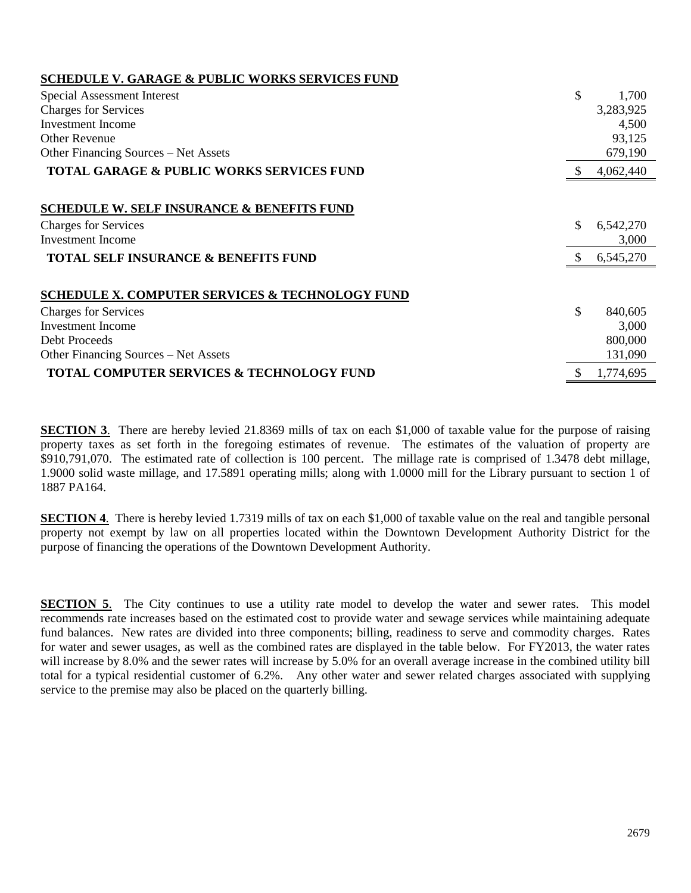| <b>SCHEDULE V. GARAGE &amp; PUBLIC WORKS SERVICES FUND</b> |     |           |
|------------------------------------------------------------|-----|-----------|
| Special Assessment Interest                                | \$  | 1,700     |
| <b>Charges for Services</b>                                |     | 3,283,925 |
| Investment Income                                          |     | 4,500     |
| <b>Other Revenue</b>                                       |     | 93,125    |
| Other Financing Sources – Net Assets                       |     | 679,190   |
| <b>TOTAL GARAGE &amp; PUBLIC WORKS SERVICES FUND</b>       |     | 4,062,440 |
|                                                            |     |           |
| <b>SCHEDULE W. SELF INSURANCE &amp; BENEFITS FUND</b>      |     |           |
| <b>Charges for Services</b>                                | \$  | 6,542,270 |
| Investment Income                                          |     | 3,000     |
| <b>TOTAL SELF INSURANCE &amp; BENEFITS FUND</b>            | \$. | 6,545,270 |
| <b>SCHEDULE X. COMPUTER SERVICES &amp; TECHNOLOGY FUND</b> |     |           |
| <b>Charges for Services</b>                                | \$  | 840,605   |
| Investment Income                                          |     | 3,000     |
| Debt Proceeds                                              |     | 800,000   |
| Other Financing Sources – Net Assets                       |     | 131,090   |
| <b>TOTAL COMPUTER SERVICES &amp; TECHNOLOGY FUND</b>       |     | 1,774,695 |

**SECTION 3**. There are hereby levied 21.8369 mills of tax on each \$1,000 of taxable value for the purpose of raising property taxes as set forth in the foregoing estimates of revenue. The estimates of the valuation of property are \$910,791,070. The estimated rate of collection is 100 percent. The millage rate is comprised of 1.3478 debt millage, 1.9000 solid waste millage, and 17.5891 operating mills; along with 1.0000 mill for the Library pursuant to section 1 of 1887 PA164.

**SECTION 4.** There is hereby levied 1.7319 mills of tax on each \$1,000 of taxable value on the real and tangible personal property not exempt by law on all properties located within the Downtown Development Authority District for the purpose of financing the operations of the Downtown Development Authority.

**SECTION 5**. The City continues to use a utility rate model to develop the water and sewer rates. This model recommends rate increases based on the estimated cost to provide water and sewage services while maintaining adequate fund balances. New rates are divided into three components; billing, readiness to serve and commodity charges. Rates for water and sewer usages, as well as the combined rates are displayed in the table below. For FY2013, the water rates will increase by 8.0% and the sewer rates will increase by 5.0% for an overall average increase in the combined utility bill total for a typical residential customer of 6.2%. Any other water and sewer related charges associated with supplying service to the premise may also be placed on the quarterly billing.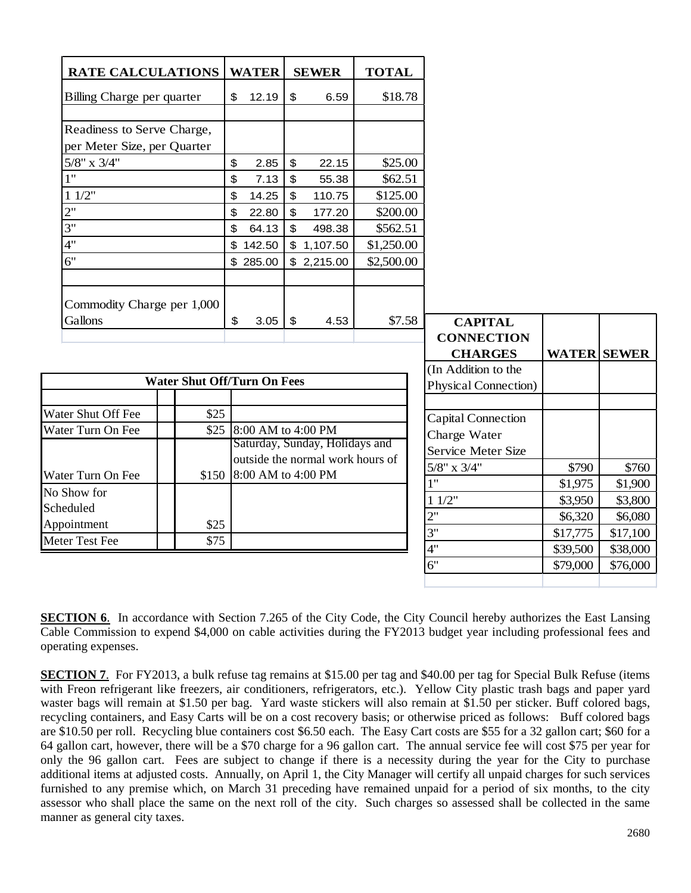| <b>RATE CALCULATIONS</b>                         |                                    | <b>WATER</b>             |                           | <b>SEWER</b>                     | <b>TOTAL</b> |                                           |                    |          |
|--------------------------------------------------|------------------------------------|--------------------------|---------------------------|----------------------------------|--------------|-------------------------------------------|--------------------|----------|
| Billing Charge per quarter                       |                                    | \$<br>12.19              | $\mathfrak{F}$            | 6.59                             | \$18.78      |                                           |                    |          |
| Readiness to Serve Charge,                       |                                    |                          |                           |                                  |              |                                           |                    |          |
| per Meter Size, per Quarter<br>$5/8$ " x $3/4$ " |                                    | \$<br>2.85               | $\mathfrak{P}$            | 22.15                            | \$25.00      |                                           |                    |          |
| 1"                                               |                                    | \$<br>7.13               | $\boldsymbol{\mathsf{S}}$ | 55.38                            | \$62.51      |                                           |                    |          |
| 11/2"                                            |                                    | \$<br>14.25              | $\boldsymbol{\mathsf{S}}$ | 110.75                           | \$125.00     |                                           |                    |          |
| 2"                                               |                                    | \$<br>22.80              | $\boldsymbol{\mathsf{S}}$ | 177.20                           | \$200.00     |                                           |                    |          |
| 3"                                               |                                    | \$<br>64.13              | $\mathsf{\$}$             | 498.38                           | \$562.51     |                                           |                    |          |
| 4"                                               |                                    | \$<br>142.50             |                           | \$1,107.50                       | \$1,250.00   |                                           |                    |          |
| 6"                                               |                                    | \$285.00                 |                           | \$2,215.00                       | \$2,500.00   |                                           |                    |          |
|                                                  |                                    |                          |                           |                                  |              |                                           |                    |          |
| Commodity Charge per 1,000                       |                                    |                          |                           |                                  |              |                                           |                    |          |
| Gallons                                          |                                    | \$<br>3.05               | $\mathfrak{F}$            | 4.53                             | \$7.58       | <b>CAPITAL</b>                            |                    |          |
|                                                  |                                    |                          |                           |                                  |              | <b>CONNECTION</b>                         |                    |          |
|                                                  |                                    |                          |                           |                                  |              | <b>CHARGES</b>                            | <b>WATER SEWER</b> |          |
|                                                  | <b>Water Shut Off/Turn On Fees</b> |                          |                           |                                  |              | (In Addition to the                       |                    |          |
|                                                  |                                    |                          |                           |                                  |              | <b>Physical Connection</b> )              |                    |          |
| Water Shut Off Fee                               | \$25                               |                          |                           |                                  |              |                                           |                    |          |
| Water Turn On Fee                                |                                    | \$25 8:00 AM to 4:00 PM  |                           |                                  |              | <b>Capital Connection</b><br>Charge Water |                    |          |
|                                                  |                                    |                          |                           | Saturday, Sunday, Holidays and   |              | Service Meter Size                        |                    |          |
|                                                  |                                    |                          |                           | outside the normal work hours of |              | $5/8$ " x $3/4$ "                         | \$790              | \$760    |
| Water Turn On Fee                                |                                    | \$150 8:00 AM to 4:00 PM |                           |                                  |              | 1"                                        | \$1,975            | \$1,900  |
| No Show for                                      |                                    |                          |                           |                                  |              | 11/2"                                     |                    | \$3,800  |
| Scheduled                                        |                                    |                          |                           |                                  |              | 2"                                        | \$3,950<br>\$6,320 | \$6,080  |
| Appointment                                      | \$25                               |                          |                           |                                  |              | 3"                                        | \$17,775           | \$17,100 |
| Meter Test Fee                                   | \$75                               |                          |                           |                                  |              | 4"                                        | \$39,500           | \$38,000 |
|                                                  |                                    |                          |                           |                                  |              | 6"                                        | \$79,000           | \$76,000 |
|                                                  |                                    |                          |                           |                                  |              |                                           |                    |          |

**SECTION 6.** In accordance with Section 7.265 of the City Code, the City Council hereby authorizes the East Lansing Cable Commission to expend \$4,000 on cable activities during the FY2013 budget year including professional fees and operating expenses.

**SECTION 7.** For FY2013, a bulk refuse tag remains at \$15.00 per tag and \$40.00 per tag for Special Bulk Refuse (items with Freon refrigerant like freezers, air conditioners, refrigerators, etc.). Yellow City plastic trash bags and paper yard waster bags will remain at \$1.50 per bag. Yard waste stickers will also remain at \$1.50 per sticker. Buff colored bags, recycling containers, and Easy Carts will be on a cost recovery basis; or otherwise priced as follows: Buff colored bags are \$10.50 per roll. Recycling blue containers cost \$6.50 each. The Easy Cart costs are \$55 for a 32 gallon cart; \$60 for a 64 gallon cart, however, there will be a \$70 charge for a 96 gallon cart. The annual service fee will cost \$75 per year for only the 96 gallon cart. Fees are subject to change if there is a necessity during the year for the City to purchase additional items at adjusted costs. Annually, on April 1, the City Manager will certify all unpaid charges for such services furnished to any premise which, on March 31 preceding have remained unpaid for a period of six months, to the city assessor who shall place the same on the next roll of the city. Such charges so assessed shall be collected in the same manner as general city taxes.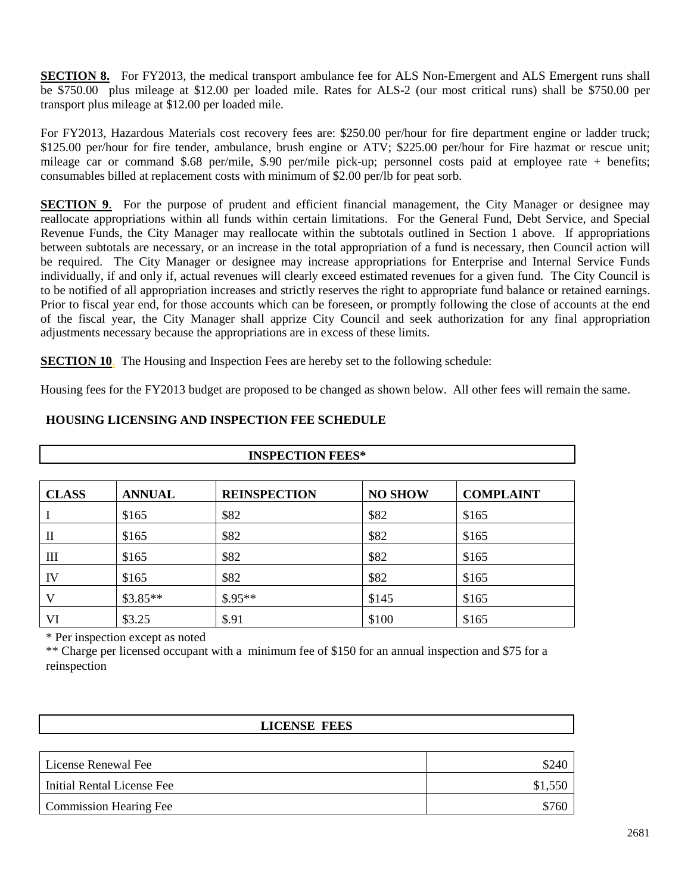**SECTION 8.** For FY2013, the medical transport ambulance fee for ALS Non-Emergent and ALS Emergent runs shall be \$750.00 plus mileage at \$12.00 per loaded mile. Rates for ALS-2 (our most critical runs) shall be \$750.00 per transport plus mileage at \$12.00 per loaded mile.

For FY2013, Hazardous Materials cost recovery fees are: \$250.00 per/hour for fire department engine or ladder truck; \$125.00 per/hour for fire tender, ambulance, brush engine or ATV; \$225.00 per/hour for Fire hazmat or rescue unit; mileage car or command \$.68 per/mile, \$.90 per/mile pick-up; personnel costs paid at employee rate + benefits; consumables billed at replacement costs with minimum of \$2.00 per/lb for peat sorb.

**SECTION 9.** For the purpose of prudent and efficient financial management, the City Manager or designee may reallocate appropriations within all funds within certain limitations. For the General Fund, Debt Service, and Special Revenue Funds, the City Manager may reallocate within the subtotals outlined in Section 1 above. If appropriations between subtotals are necessary, or an increase in the total appropriation of a fund is necessary, then Council action will be required. The City Manager or designee may increase appropriations for Enterprise and Internal Service Funds individually, if and only if, actual revenues will clearly exceed estimated revenues for a given fund. The City Council is to be notified of all appropriation increases and strictly reserves the right to appropriate fund balance or retained earnings. Prior to fiscal year end, for those accounts which can be foreseen, or promptly following the close of accounts at the end of the fiscal year, the City Manager shall apprize City Council and seek authorization for any final appropriation adjustments necessary because the appropriations are in excess of these limits.

**SECTION 10**. The Housing and Inspection Fees are hereby set to the following schedule:

Housing fees for the FY2013 budget are proposed to be changed as shown below. All other fees will remain the same.

| <b>CLASS</b>   | <b>ANNUAL</b> | <b>REINSPECTION</b> | <b>NO SHOW</b> | <b>COMPLAINT</b> |
|----------------|---------------|---------------------|----------------|------------------|
|                | \$165         | \$82                | \$82           | \$165            |
| $\mathbf{I}$   | \$165         | \$82                | \$82           | \$165            |
| $\mathbf{III}$ | \$165         | \$82                | \$82           | \$165            |
| IV             | \$165         | \$82                | \$82           | \$165            |
| V              | $$3.85**$$    | $$.95**$            | \$145          | \$165            |
| VI             | \$3.25        | \$.91               | \$100          | \$165            |

**INSPECTION FEES\***

#### **HOUSING LICENSING AND INSPECTION FEE SCHEDULE**

\* Per inspection except as noted

\*\* Charge per licensed occupant with a minimum fee of \$150 for an annual inspection and \$75 for a reinspection

| <b>LICENSE FEES</b>           |         |
|-------------------------------|---------|
|                               |         |
| License Renewal Fee           | \$240   |
| Initial Rental License Fee    | \$1,550 |
| <b>Commission Hearing Fee</b> | \$760   |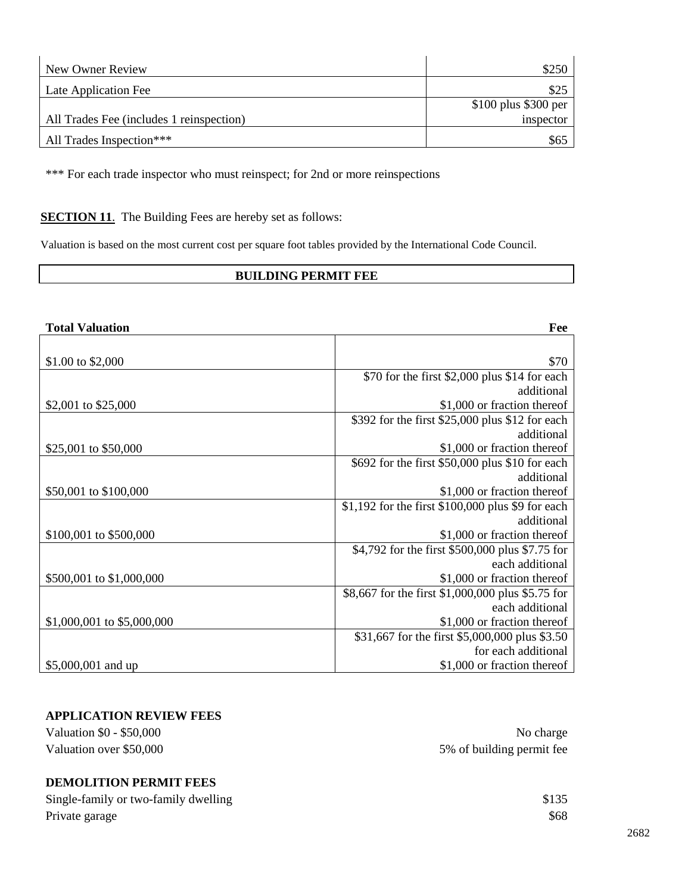| New Owner Review                         | \$250                  |
|------------------------------------------|------------------------|
| Late Application Fee                     | \$25                   |
|                                          | $$100$ plus $$300$ per |
| All Trades Fee (includes 1 reinspection) | inspector              |
| All Trades Inspection***                 | \$65                   |

\*\*\* For each trade inspector who must reinspect; for 2nd or more reinspections

#### **SECTION 11.** The Building Fees are hereby set as follows:

Valuation is based on the most current cost per square foot tables provided by the International Code Council.

#### **BUILDING PERMIT FEE**

| <b>Total Valuation</b>     | Fee                                               |
|----------------------------|---------------------------------------------------|
|                            |                                                   |
| \$1.00 to \$2,000          | \$70                                              |
|                            | \$70 for the first \$2,000 plus \$14 for each     |
|                            | additional                                        |
| \$2,001 to \$25,000        | \$1,000 or fraction thereof                       |
|                            | \$392 for the first \$25,000 plus \$12 for each   |
|                            | additional                                        |
| \$25,001 to \$50,000       | \$1,000 or fraction thereof                       |
|                            | \$692 for the first \$50,000 plus \$10 for each   |
|                            | additional                                        |
| \$50,001 to \$100,000      | \$1,000 or fraction thereof                       |
|                            | \$1,192 for the first \$100,000 plus \$9 for each |
|                            | additional                                        |
| \$100,001 to \$500,000     | \$1,000 or fraction thereof                       |
|                            | \$4,792 for the first \$500,000 plus \$7.75 for   |
|                            | each additional                                   |
| \$500,001 to \$1,000,000   | \$1,000 or fraction thereof                       |
|                            | \$8,667 for the first \$1,000,000 plus \$5.75 for |
|                            | each additional                                   |
| \$1,000,001 to \$5,000,000 | \$1,000 or fraction thereof                       |
|                            | \$31,667 for the first \$5,000,000 plus \$3.50    |
|                            | for each additional                               |
| \$5,000,001 and up         | \$1,000 or fraction thereof                       |

#### **APPLICATION REVIEW FEES**

| 5% of building permit fee |
|---------------------------|
| No charge                 |
|                           |

| Single-family or two-family dwelling | \$135 |
|--------------------------------------|-------|
| Private garage                       | \$68  |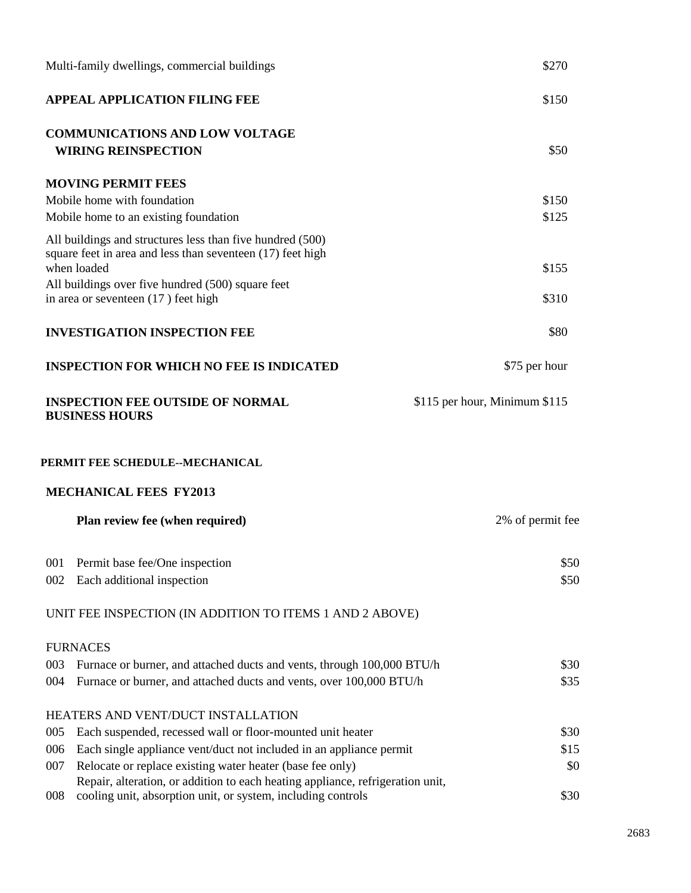|            | Multi-family dwellings, commercial buildings                                                                                                                     | \$270                         |
|------------|------------------------------------------------------------------------------------------------------------------------------------------------------------------|-------------------------------|
|            | <b>APPEAL APPLICATION FILING FEE</b>                                                                                                                             | \$150                         |
|            | <b>COMMUNICATIONS AND LOW VOLTAGE</b><br><b>WIRING REINSPECTION</b>                                                                                              | \$50                          |
|            | <b>MOVING PERMIT FEES</b><br>Mobile home with foundation                                                                                                         | \$150                         |
|            | Mobile home to an existing foundation<br>All buildings and structures less than five hundred (500)<br>square feet in area and less than seventeen (17) feet high | \$125                         |
|            | when loaded<br>All buildings over five hundred (500) square feet<br>in area or seventeen (17) feet high                                                          | \$155<br>\$310                |
|            | <b>INVESTIGATION INSPECTION FEE</b>                                                                                                                              | \$80                          |
|            | <b>INSPECTION FOR WHICH NO FEE IS INDICATED</b>                                                                                                                  | \$75 per hour                 |
|            | <b>INSPECTION FEE OUTSIDE OF NORMAL</b><br><b>BUSINESS HOURS</b>                                                                                                 | \$115 per hour, Minimum \$115 |
|            | PERMIT FEE SCHEDULE--MECHANICAL                                                                                                                                  |                               |
|            | <b>MECHANICAL FEES FY2013</b>                                                                                                                                    |                               |
|            | Plan review fee (when required)                                                                                                                                  | 2% of permit fee              |
| 001<br>002 | Permit base fee/One inspection<br>Each additional inspection                                                                                                     | \$50<br>\$50                  |
|            | UNIT FEE INSPECTION (IN ADDITION TO ITEMS 1 AND 2 ABOVE)                                                                                                         |                               |
|            | <b>FURNACES</b>                                                                                                                                                  |                               |
| 003<br>004 | Furnace or burner, and attached ducts and vents, through 100,000 BTU/h<br>Furnace or burner, and attached ducts and vents, over 100,000 BTU/h                    | \$30<br>\$35                  |
|            | HEATERS AND VENT/DUCT INSTALLATION                                                                                                                               |                               |
| 005        | Each suspended, recessed wall or floor-mounted unit heater                                                                                                       | \$30                          |
| 006        | Each single appliance vent/duct not included in an appliance permit                                                                                              | \$15                          |
| 007        | Relocate or replace existing water heater (base fee only)                                                                                                        | \$0                           |
| 008        | Repair, alteration, or addition to each heating appliance, refrigeration unit,<br>cooling unit, absorption unit, or system, including controls                   | \$30                          |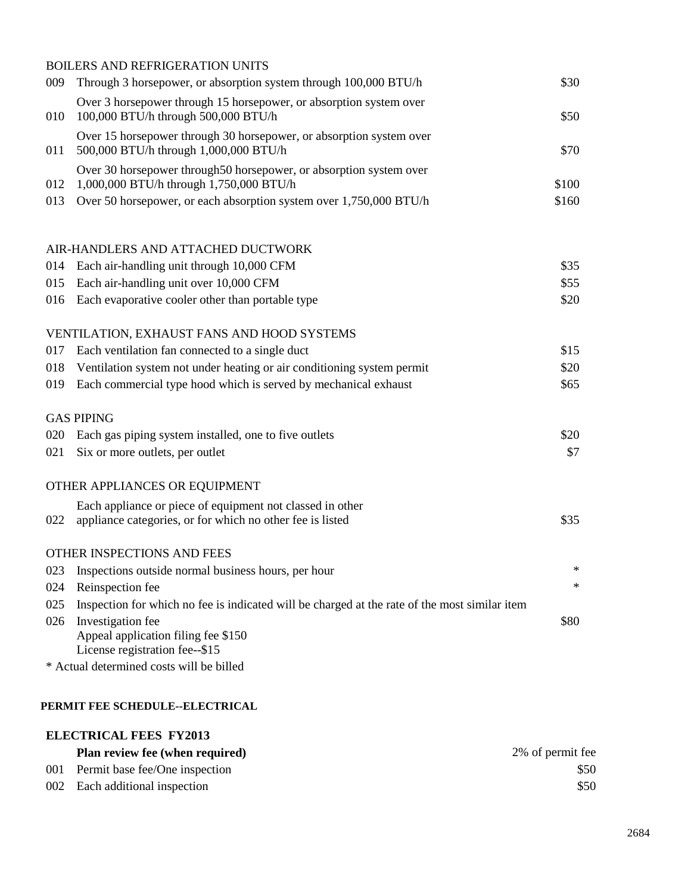|     | <b>BOILERS AND REFRIGERATION UNITS</b>                                                                                 |       |
|-----|------------------------------------------------------------------------------------------------------------------------|-------|
| 009 | Through 3 horsepower, or absorption system through 100,000 BTU/h                                                       | \$30  |
| 010 | Over 3 horsepower through 15 horsepower, or absorption system over<br>100,000 BTU/h through 500,000 BTU/h              | \$50  |
| 011 | Over 15 horsepower through 30 horsepower, or absorption system over<br>500,000 BTU/h through 1,000,000 BTU/h           | \$70  |
| 012 | Over 30 horsepower through 50 horsepower, or absorption system over<br>1,000,000 BTU/h through 1,750,000 BTU/h         | \$100 |
| 013 | Over 50 horsepower, or each absorption system over 1,750,000 BTU/h                                                     | \$160 |
|     | AIR-HANDLERS AND ATTACHED DUCTWORK                                                                                     |       |
| 014 | Each air-handling unit through 10,000 CFM                                                                              | \$35  |
| 015 | Each air-handling unit over 10,000 CFM                                                                                 | \$55  |
| 016 | Each evaporative cooler other than portable type                                                                       | \$20  |
|     | VENTILATION, EXHAUST FANS AND HOOD SYSTEMS                                                                             |       |
| 017 | Each ventilation fan connected to a single duct                                                                        | \$15  |
| 018 | Ventilation system not under heating or air conditioning system permit                                                 | \$20  |
| 019 | Each commercial type hood which is served by mechanical exhaust                                                        | \$65  |
|     | <b>GAS PIPING</b>                                                                                                      |       |
| 020 | Each gas piping system installed, one to five outlets                                                                  | \$20  |
| 021 | Six or more outlets, per outlet                                                                                        | \$7   |
|     | OTHER APPLIANCES OR EQUIPMENT                                                                                          |       |
| 022 | Each appliance or piece of equipment not classed in other<br>appliance categories, or for which no other fee is listed | \$35  |
|     | OTHER INSPECTIONS AND FEES                                                                                             |       |
| 023 | Inspections outside normal business hours, per hour                                                                    | ∗     |
| 024 | Reinspection fee                                                                                                       | ∗     |
| 025 | Inspection for which no fee is indicated will be charged at the rate of the most similar item                          |       |
| 026 | Investigation fee                                                                                                      | \$80  |
|     | Appeal application filing fee \$150<br>License registration fee--\$15                                                  |       |
|     | * Actual determined costs will be billed                                                                               |       |
|     |                                                                                                                        |       |

#### **PERMIT FEE SCHEDULE--ELECTRICAL**

## **ELECTRICAL FEES FY2013 Plan review fee (when required)** 2% of permit fee 001 Permit base fee/One inspection \$50 002 Each additional inspection \$50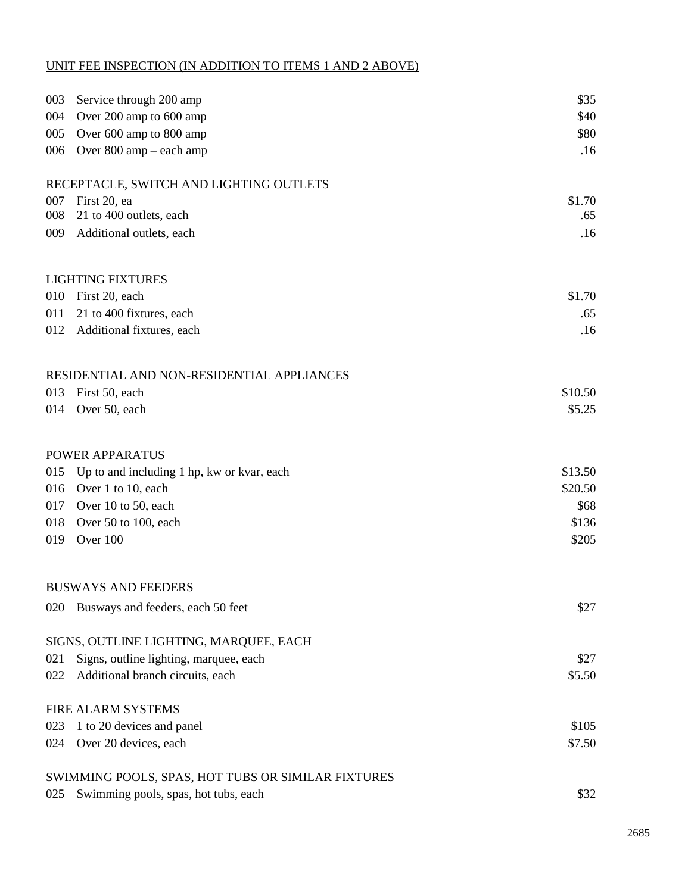### UNIT FEE INSPECTION (IN ADDITION TO ITEMS 1 AND 2 ABOVE)

| 003 | Service through 200 amp                            | \$35    |
|-----|----------------------------------------------------|---------|
| 004 | Over 200 amp to 600 amp                            | \$40    |
| 005 | Over 600 amp to 800 amp                            | \$80    |
| 006 | Over 800 amp – each amp                            | .16     |
|     | RECEPTACLE, SWITCH AND LIGHTING OUTLETS            |         |
| 007 | First 20, ea                                       | \$1.70  |
| 008 | 21 to 400 outlets, each                            | .65     |
| 009 | Additional outlets, each                           | .16     |
|     | <b>LIGHTING FIXTURES</b>                           |         |
| 010 | First 20, each                                     | \$1.70  |
| 011 | 21 to 400 fixtures, each                           | .65     |
| 012 | Additional fixtures, each                          | .16     |
|     | RESIDENTIAL AND NON-RESIDENTIAL APPLIANCES         |         |
| 013 | First 50, each                                     | \$10.50 |
| 014 | Over 50, each                                      | \$5.25  |
|     | POWER APPARATUS                                    |         |
| 015 | Up to and including 1 hp, kw or kvar, each         | \$13.50 |
| 016 | Over 1 to 10, each                                 | \$20.50 |
| 017 | Over 10 to 50, each                                | \$68    |
| 018 | Over 50 to 100, each                               | \$136   |
| 019 | Over 100                                           | \$205   |
|     | <b>BUSWAYS AND FEEDERS</b>                         |         |
| 020 | Busways and feeders, each 50 feet                  | \$27    |
|     | SIGNS, OUTLINE LIGHTING, MARQUEE, EACH             |         |
| 021 | Signs, outline lighting, marquee, each             | \$27    |
| 022 | Additional branch circuits, each                   | \$5.50  |
|     | <b>FIRE ALARM SYSTEMS</b>                          |         |
| 023 | 1 to 20 devices and panel                          | \$105   |
| 024 | Over 20 devices, each                              | \$7.50  |
|     | SWIMMING POOLS, SPAS, HOT TUBS OR SIMILAR FIXTURES |         |
| 025 | Swimming pools, spas, hot tubs, each               | \$32    |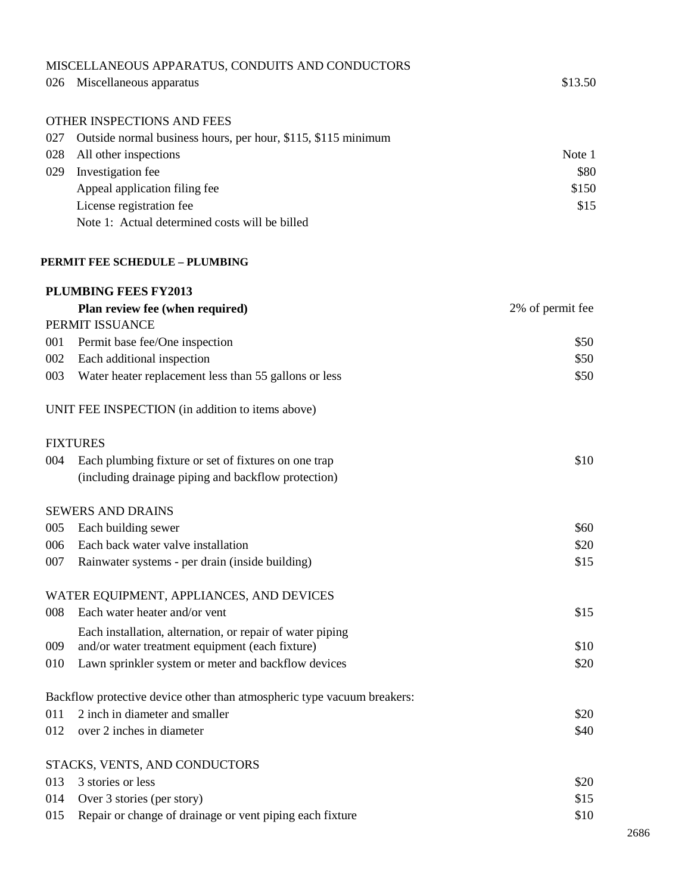|     | MISCELLANEOUS APPARATUS, CONDUITS AND CONDUCTORS                        |                  |
|-----|-------------------------------------------------------------------------|------------------|
| 026 | Miscellaneous apparatus                                                 | \$13.50          |
|     | OTHER INSPECTIONS AND FEES                                              |                  |
| 027 | Outside normal business hours, per hour, \$115, \$115 minimum           |                  |
| 028 | All other inspections                                                   | Note 1           |
| 029 | Investigation fee                                                       | \$80             |
|     | Appeal application filing fee                                           | \$150            |
|     | License registration fee                                                | \$15             |
|     | Note 1: Actual determined costs will be billed                          |                  |
|     | <b>PERMIT FEE SCHEDULE - PLUMBING</b>                                   |                  |
|     | PLUMBING FEES FY2013                                                    |                  |
|     | Plan review fee (when required)                                         | 2% of permit fee |
|     | PERMIT ISSUANCE                                                         |                  |
| 001 | Permit base fee/One inspection                                          | \$50             |
| 002 | Each additional inspection                                              | \$50             |
| 003 | Water heater replacement less than 55 gallons or less                   | \$50             |
|     | UNIT FEE INSPECTION (in addition to items above)                        |                  |
|     | <b>FIXTURES</b>                                                         |                  |
| 004 | Each plumbing fixture or set of fixtures on one trap                    | \$10             |
|     | (including drainage piping and backflow protection)                     |                  |
|     | <b>SEWERS AND DRAINS</b>                                                |                  |
| 005 | Each building sewer                                                     | \$60             |
| 006 | Each back water valve installation                                      | \$20             |
| 007 | Rainwater systems - per drain (inside building)                         | \$15             |
|     | WATER EQUIPMENT, APPLIANCES, AND DEVICES                                |                  |
| 008 | Each water heater and/or vent                                           | \$15             |
|     | Each installation, alternation, or repair of water piping               |                  |
| 009 | and/or water treatment equipment (each fixture)                         | \$10             |
| 010 | Lawn sprinkler system or meter and backflow devices                     | \$20             |
|     | Backflow protective device other than atmospheric type vacuum breakers: |                  |
| 011 | 2 inch in diameter and smaller                                          | \$20             |
| 012 | over 2 inches in diameter                                               | \$40             |
|     | STACKS, VENTS, AND CONDUCTORS                                           |                  |
| 013 | 3 stories or less                                                       | \$20             |
| 014 | Over 3 stories (per story)                                              | \$15             |
| 015 | Repair or change of drainage or vent piping each fixture                | \$10             |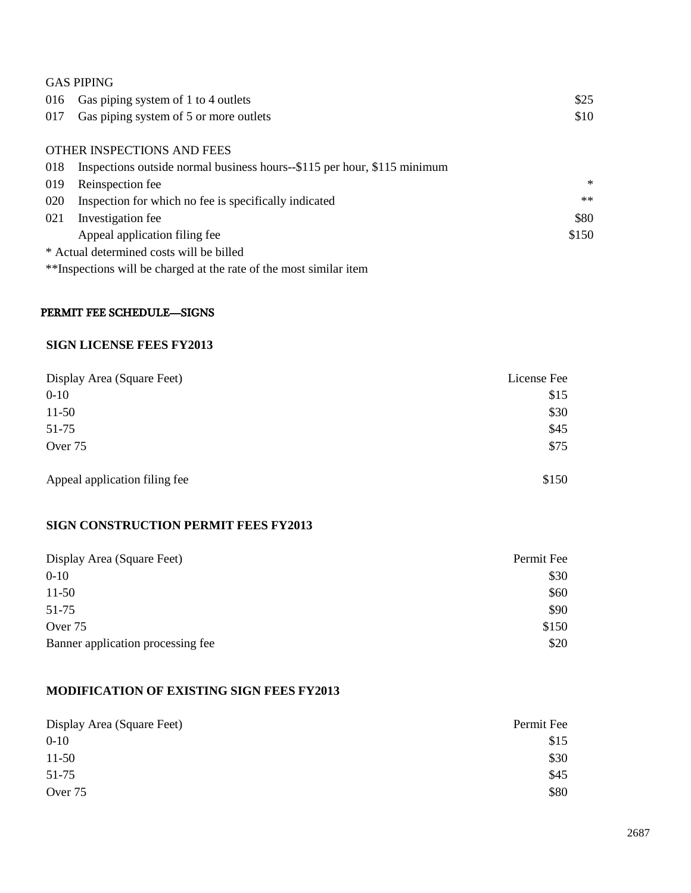|     | <b>GAS PIPING</b>                                                        |        |
|-----|--------------------------------------------------------------------------|--------|
| 016 | Gas piping system of 1 to 4 outlets                                      | \$25   |
| 017 | Gas piping system of 5 or more outlets                                   | \$10   |
|     |                                                                          |        |
|     | OTHER INSPECTIONS AND FEES                                               |        |
| 018 | Inspections outside normal business hours--\$115 per hour, \$115 minimum |        |
| 019 | Reinspection fee                                                         | $\ast$ |
| 020 | Inspection for which no fee is specifically indicated                    | $**$   |
| 021 | Investigation fee                                                        | \$80   |
|     | Appeal application filing fee                                            | \$150  |
|     | * Actual determined costs will be billed                                 |        |

\*\*Inspections will be charged at the rate of the most similar item

#### PERMIT FEE SCHEDULE—SIGNS

#### **SIGN LICENSE FEES FY2013**

| Display Area (Square Feet)    | License Fee |
|-------------------------------|-------------|
| $0 - 10$                      | \$15        |
| $11-50$                       | \$30        |
| 51-75                         | \$45        |
| Over 75                       | \$75        |
| Appeal application filing fee | \$150       |

#### **SIGN CONSTRUCTION PERMIT FEES FY2013**

| Display Area (Square Feet)        | Permit Fee |
|-----------------------------------|------------|
| $0 - 10$                          | \$30       |
| $11-50$                           | \$60       |
| 51-75                             | \$90       |
| Over 75                           | \$150      |
| Banner application processing fee | \$20       |

#### **MODIFICATION OF EXISTING SIGN FEES FY2013**

| Display Area (Square Feet) | Permit Fee |
|----------------------------|------------|
| $0 - 10$                   | \$15       |
| $11-50$                    | \$30       |
| 51-75                      | \$45       |
| Over 75                    | \$80       |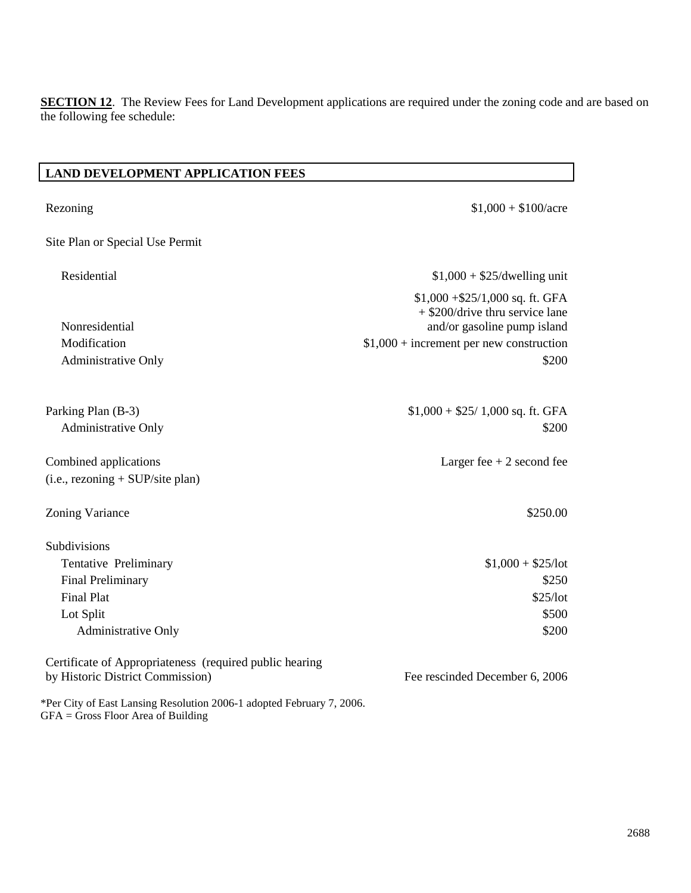**SECTION 12**. The Review Fees for Land Development applications are required under the zoning code and are based on the following fee schedule:

#### **LAND DEVELOPMENT APPLICATION FEES**

| Rezoning                                                                                                      | $$1,000 + $100/$ acre                                                                                                                             |
|---------------------------------------------------------------------------------------------------------------|---------------------------------------------------------------------------------------------------------------------------------------------------|
| Site Plan or Special Use Permit                                                                               |                                                                                                                                                   |
| Residential                                                                                                   | $$1,000 + $25$ /dwelling unit                                                                                                                     |
| Nonresidential<br>Modification                                                                                | $$1,000 + $25/1,000$ sq. ft. GFA<br>$+$ \$200/drive thru service lane<br>and/or gasoline pump island<br>$$1,000 + increment per new construction$ |
| <b>Administrative Only</b>                                                                                    | \$200                                                                                                                                             |
| Parking Plan (B-3)<br>Administrative Only                                                                     | $$1,000 + $25/1,000$ sq. ft. GFA<br>\$200                                                                                                         |
| Combined applications<br>$(i.e., reasoning + SUP/site plan)$                                                  | Larger fee $+2$ second fee                                                                                                                        |
| Zoning Variance                                                                                               | \$250.00                                                                                                                                          |
| Subdivisions                                                                                                  |                                                                                                                                                   |
| Tentative Preliminary                                                                                         | $$1,000 + $25/lot$                                                                                                                                |
| <b>Final Preliminary</b>                                                                                      | \$250                                                                                                                                             |
| <b>Final Plat</b>                                                                                             | \$25/lot                                                                                                                                          |
| Lot Split                                                                                                     | \$500                                                                                                                                             |
| <b>Administrative Only</b>                                                                                    | \$200                                                                                                                                             |
| Certificate of Appropriateness (required public hearing<br>by Historic District Commission)                   | Fee rescinded December 6, 2006                                                                                                                    |
| *Per City of East Lansing Resolution 2006-1 adopted February 7, 2006.<br>$GFA = Gross$ Floor Area of Building |                                                                                                                                                   |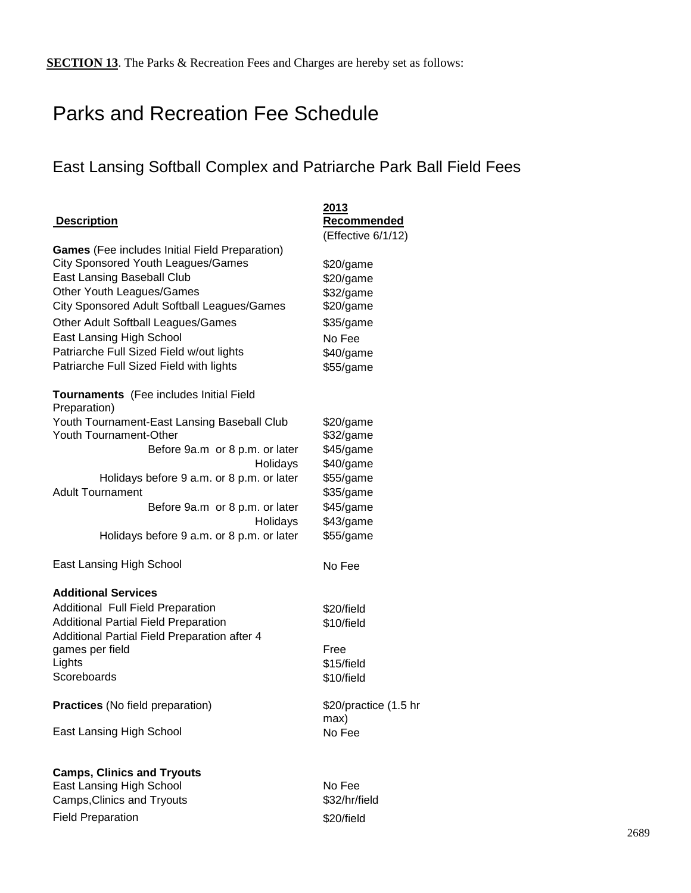## Parks and Recreation Fee Schedule

## East Lansing Softball Complex and Patriarche Park Ball Field Fees

| <b>Description</b>                                      | 2013<br>Recommended   |
|---------------------------------------------------------|-----------------------|
|                                                         | (Effective 6/1/12)    |
| <b>Games</b> (Fee includes Initial Field Preparation)   |                       |
| <b>City Sponsored Youth Leagues/Games</b>               | \$20/game             |
| East Lansing Baseball Club                              | \$20/game             |
| Other Youth Leagues/Games                               | \$32/game             |
| City Sponsored Adult Softball Leagues/Games             | \$20/game             |
| Other Adult Softball Leagues/Games                      | \$35/game             |
| East Lansing High School                                | No Fee                |
| Patriarche Full Sized Field w/out lights                | \$40/game             |
| Patriarche Full Sized Field with lights                 | \$55/game             |
| Tournaments (Fee includes Initial Field<br>Preparation) |                       |
| Youth Tournament-East Lansing Baseball Club             | \$20/game             |
| Youth Tournament-Other                                  | \$32/game             |
| Before 9a.m or 8 p.m. or later                          | \$45/game             |
| Holidays                                                | \$40/game             |
| Holidays before 9 a.m. or 8 p.m. or later               | \$55/game             |
| <b>Adult Tournament</b>                                 | \$35/game             |
| Before 9a.m or 8 p.m. or later                          | \$45/game             |
| Holidays                                                | \$43/game             |
| Holidays before 9 a.m. or 8 p.m. or later               | \$55/game             |
| East Lansing High School                                | No Fee                |
| <b>Additional Services</b>                              |                       |
| Additional Full Field Preparation                       | \$20/field            |
| <b>Additional Partial Field Preparation</b>             | \$10/field            |
| Additional Partial Field Preparation after 4            |                       |
| games per field                                         | Free                  |
| Lights                                                  | \$15/field            |
| Scoreboards                                             | \$10/field            |
| <b>Practices</b> (No field preparation)                 | \$20/practice (1.5 hr |
| East Lansing High School                                | max)                  |
|                                                         | No Fee                |
| <b>Camps, Clinics and Tryouts</b>                       |                       |
| <b>East Lansing High School</b>                         | No Fee                |

East Lansing High School No Fee Camps, Clinics and Tryouts **\$32/hr/field** Field Preparation **\$20/field**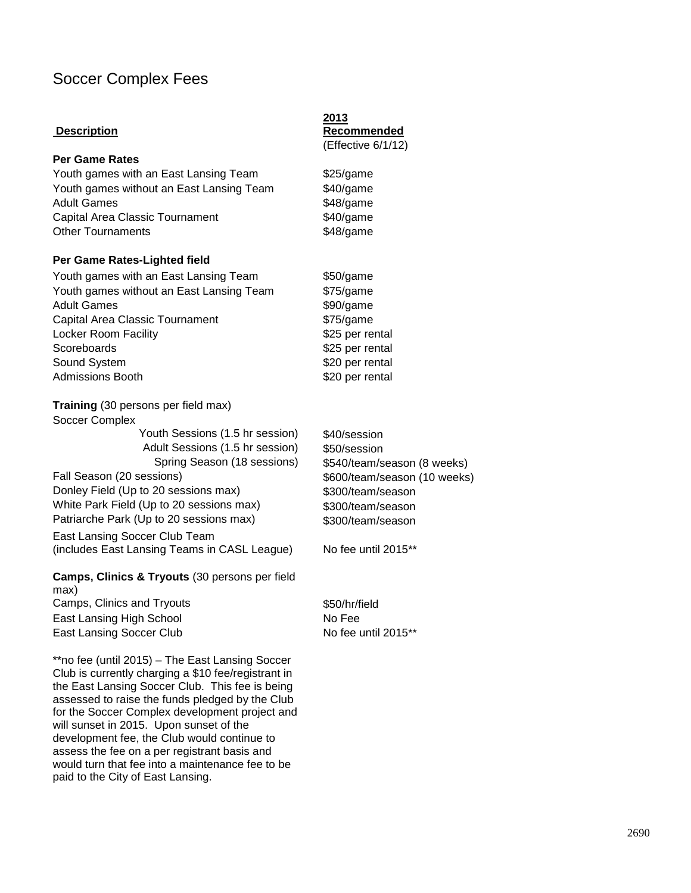## Soccer Complex Fees

#### **Description**

#### **Per Game Rates**

Youth games with an East Lansing Team \$25/game Youth games without an East Lansing Team \$40/game Adult Games **\$48/game** Capital Area Classic Tournament \$40/game Other Tournaments **\$48/game** 

#### **Per Game Rates-Lighted field**

| Youth games with an East Lansing Team    |
|------------------------------------------|
| Youth games without an East Lansing Team |
| <b>Adult Games</b>                       |
| Capital Area Classic Tournament          |
| Locker Room Facility                     |
| Scoreboards                              |
| Sound System                             |
| <b>Admissions Booth</b>                  |

**Training** (30 persons per field max) Soccer Complex Youth Sessions (1.5 hr session) \$40/session Adult Sessions (1.5 hr session) \$50/session

Fall Season (20 sessions)  $$600/team/season (10 weeks)$ Donley Field (Up to 20 sessions max) \$300/team/season White Park Field (Up to 20 sessions max) \$300/team/season Patriarche Park (Up to 20 sessions max) \$300/team/season

East Lansing Soccer Club Team (includes East Lansing Teams in CASL League) No fee until 2015<sup>\*\*</sup>

**Camps, Clinics & Tryouts** (30 persons per field max) Camps, Clinics and Tryouts  $$50/hr/field$ 

East Lansing High School No Fee East Lansing Soccer Club No fee until 2015\*\*

\*\*no fee (until 2015) – The East Lansing Soccer Club is currently charging a \$10 fee/registrant in the East Lansing Soccer Club. This fee is being assessed to raise the funds pledged by the Club for the Soccer Complex development project and will sunset in 2015. Upon sunset of the development fee, the Club would continue to assess the fee on a per registrant basis and would turn that fee into a maintenance fee to be paid to the City of East Lansing.

**2013 Recommended** (Effective 6/1/12)

 $$50/game$  $$75/game$ \$90/game  $$75/game$ \$25 per rental \$25 per rental \$20 per rental \$20 per rental

Spring Season (18 sessions) \$540/team/season (8 weeks)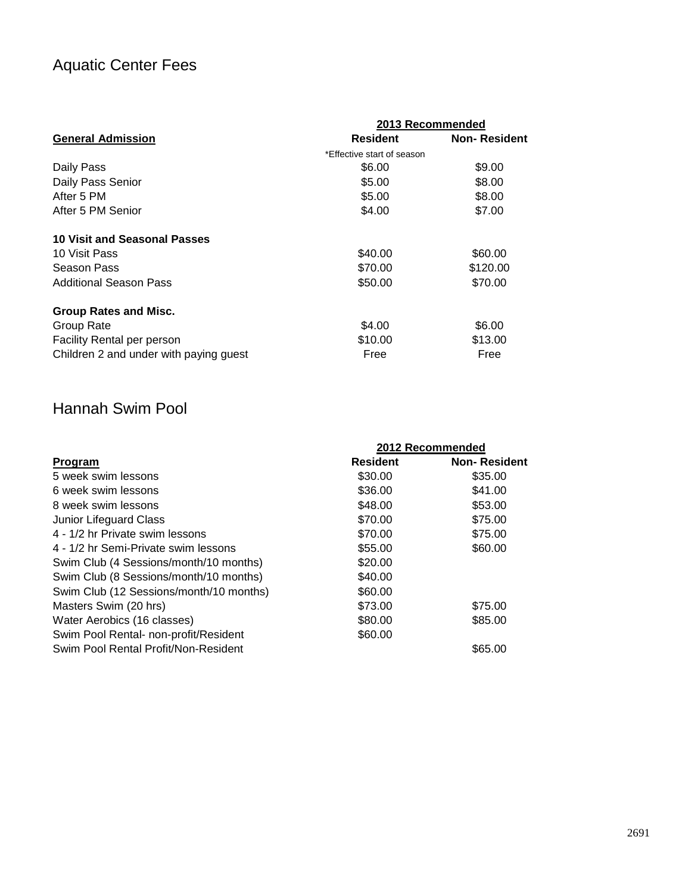## Aquatic Center Fees

|                                        | 2013 Recommended           |                     |  |
|----------------------------------------|----------------------------|---------------------|--|
| <b>General Admission</b>               | <b>Resident</b>            | <b>Non-Resident</b> |  |
|                                        | *Effective start of season |                     |  |
| Daily Pass                             | \$6.00                     | \$9.00              |  |
| Daily Pass Senior                      | \$5.00                     | \$8.00              |  |
| After 5 PM                             | \$5.00                     | \$8.00              |  |
| After 5 PM Senior                      | \$4.00                     | \$7.00              |  |
| 10 Visit and Seasonal Passes           |                            |                     |  |
| 10 Visit Pass                          | \$40.00                    | \$60.00             |  |
| Season Pass                            | \$70.00                    | \$120.00            |  |
| <b>Additional Season Pass</b>          | \$50.00                    | \$70.00             |  |
| <b>Group Rates and Misc.</b>           |                            |                     |  |
| Group Rate                             | \$4.00                     | \$6.00              |  |
| <b>Facility Rental per person</b>      | \$10.00                    | \$13.00             |  |
| Children 2 and under with paying guest | Free                       | Free                |  |

## Hannah Swim Pool

|                                         |                 | 2012 Recommended    |
|-----------------------------------------|-----------------|---------------------|
| <b>Program</b>                          | <b>Resident</b> | <b>Non-Resident</b> |
| 5 week swim lessons                     | \$30.00         | \$35.00             |
| 6 week swim lessons                     | \$36.00         | \$41.00             |
| 8 week swim lessons                     | \$48.00         | \$53.00             |
| Junior Lifeguard Class                  | \$70.00         | \$75.00             |
| 4 - 1/2 hr Private swim lessons         | \$70.00         | \$75.00             |
| 4 - 1/2 hr Semi-Private swim lessons    | \$55.00         | \$60.00             |
| Swim Club (4 Sessions/month/10 months)  | \$20.00         |                     |
| Swim Club (8 Sessions/month/10 months)  | \$40.00         |                     |
| Swim Club (12 Sessions/month/10 months) | \$60.00         |                     |
| Masters Swim (20 hrs)                   | \$73.00         | \$75.00             |
| Water Aerobics (16 classes)             | \$80.00         | \$85.00             |
| Swim Pool Rental- non-profit/Resident   | \$60.00         |                     |
| Swim Pool Rental Profit/Non-Resident    |                 | \$65.00             |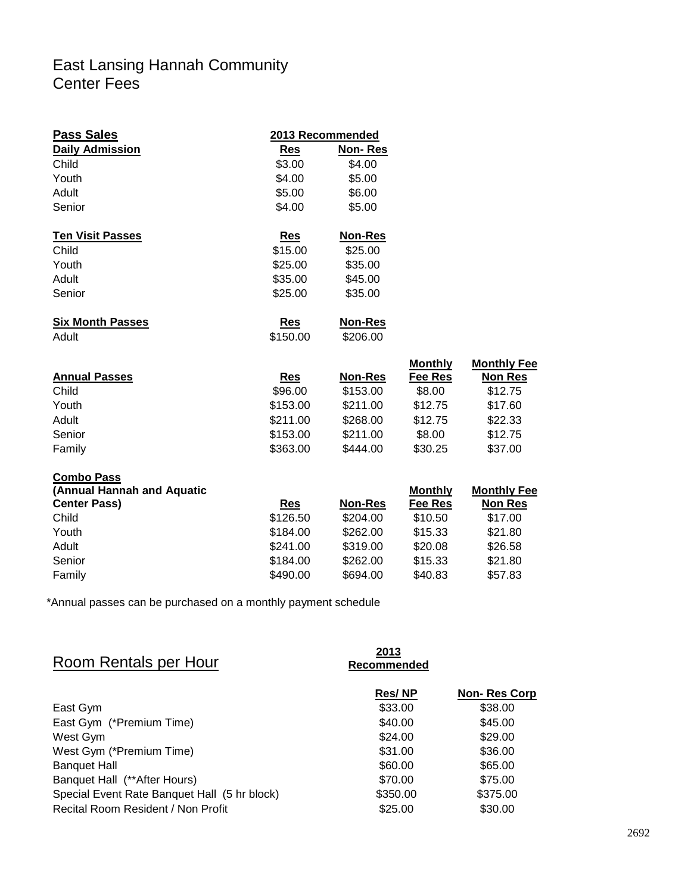## East Lansing Hannah Community Center Fees

| <b>Pass Sales</b>          |            | 2013 Recommended |                |                  |
|----------------------------|------------|------------------|----------------|------------------|
| <b>Daily Admission</b>     | Res        | <b>Non-Res</b>   |                |                  |
| Child                      | \$3.00     | \$4.00           |                |                  |
| Youth                      | \$4.00     | \$5.00           |                |                  |
| Adult                      | \$5.00     | \$6.00           |                |                  |
| Senior                     | \$4.00     | \$5.00           |                |                  |
| <b>Ten Visit Passes</b>    | Res        | <b>Non-Res</b>   |                |                  |
| Child                      | \$15.00    | \$25.00          |                |                  |
| Youth                      | \$25.00    | \$35.00          |                |                  |
| Adult                      | \$35.00    | \$45.00          |                |                  |
| Senior                     | \$25.00    | \$35.00          |                |                  |
| <b>Six Month Passes</b>    | <b>Res</b> | <b>Non-Res</b>   |                |                  |
| Adult                      | \$150.00   | \$206.00         |                |                  |
|                            |            |                  | <b>Monthly</b> | <b>Monthly F</b> |
| <b>Annual Passes</b>       | <b>Res</b> | <b>Non-Res</b>   | Fee Res        | Non Re           |
| Child                      | \$96.00    | \$153.00         | \$8.00         | \$12.75          |
| Youth                      | \$153.00   | \$211.00         | \$12.75        | \$17.60          |
| Adult                      | \$211.00   | \$268.00         | \$12.75        | \$22.33          |
| Senior                     | \$153.00   | \$211.00         | \$8.00         | \$12.75          |
| Family                     | \$363.00   | \$444.00         | \$30.25        | \$37.00          |
| <b>Combo Pass</b>          |            |                  |                |                  |
| (Annual Hannah and Aquatic |            |                  | <b>Monthly</b> | <b>Monthly F</b> |
| <b>Center Pass)</b>        | <b>Res</b> | <b>Non-Res</b>   | <b>Fee Res</b> | Non Re           |
| Child                      | \$126.50   | \$204.00         | \$10.50        | \$17.00          |
|                            | 0.1010     | $\sim$           | $A - A$        | 0.0100           |

| Youth  | \$184.00 | \$262.00 | \$15.33 | \$21.80 |
|--------|----------|----------|---------|---------|
| Adult  | \$241.00 | \$319.00 | \$20.08 | \$26.58 |
| Senior | \$184.00 | \$262.00 | \$15.33 | \$21.80 |
| Family | \$490.00 | \$694.00 | \$40.83 | \$57.83 |

\*Annual passes can be purchased on a monthly payment schedule

| Room Rentals per Hour                        | 2013<br>Recommended |                     |
|----------------------------------------------|---------------------|---------------------|
|                                              | <b>Res/NP</b>       | <b>Non-Res Corp</b> |
| East Gym                                     | \$33.00             | \$38.00             |
| East Gym (*Premium Time)                     | \$40.00             | \$45.00             |
| West Gym                                     | \$24.00             | \$29.00             |
| West Gym (*Premium Time)                     | \$31.00             | \$36.00             |
| <b>Banquet Hall</b>                          | \$60.00             | \$65.00             |
| Banquet Hall (**After Hours)                 | \$70.00             | \$75.00             |
| Special Event Rate Banquet Hall (5 hr block) | \$350.00            | \$375.00            |
| Recital Room Resident / Non Profit           | \$25.00             | \$30.00             |

**Monthly Fee Non Res**<br>\$12.75

**Monthly Fee Non Res**<br>\$17.00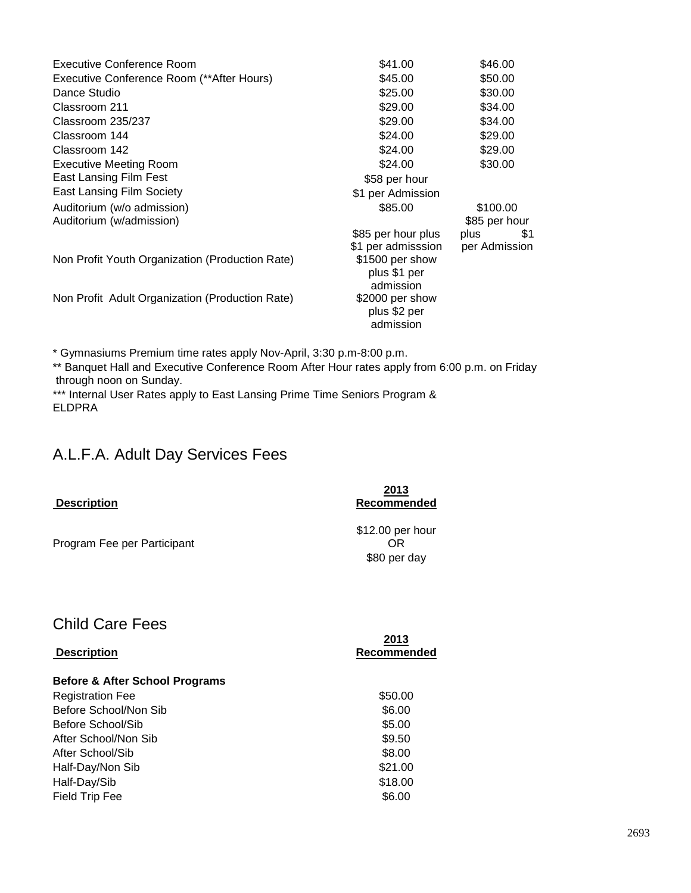| Executive Conference Room                       | \$41.00            | \$46.00       |
|-------------------------------------------------|--------------------|---------------|
| Executive Conference Room (**After Hours)       | \$45.00            | \$50.00       |
| Dance Studio                                    | \$25.00            | \$30.00       |
| Classroom 211                                   | \$29.00            | \$34.00       |
| Classroom 235/237                               | \$29.00            | \$34.00       |
| Classroom 144                                   | \$24.00            | \$29.00       |
| Classroom 142                                   | \$24.00            | \$29.00       |
| <b>Executive Meeting Room</b>                   | \$24.00            | \$30.00       |
| East Lansing Film Fest                          | \$58 per hour      |               |
| <b>East Lansing Film Society</b>                | \$1 per Admission  |               |
| Auditorium (w/o admission)                      | \$85.00            | \$100.00      |
| Auditorium (w/admission)                        |                    | \$85 per hour |
|                                                 | \$85 per hour plus | plus<br>\$1   |
|                                                 | \$1 per admisssion | per Admission |
| Non Profit Youth Organization (Production Rate) | \$1500 per show    |               |
|                                                 | plus \$1 per       |               |
|                                                 | admission          |               |
| Non Profit Adult Organization (Production Rate) | \$2000 per show    |               |
|                                                 | plus \$2 per       |               |
|                                                 | admission          |               |

\* Gymnasiums Premium time rates apply Nov-April, 3:30 p.m-8:00 p.m.

\*\* Banquet Hall and Executive Conference Room After Hour rates apply from 6:00 p.m. on Friday through noon on Sunday.

\*\*\* Internal User Rates apply to East Lansing Prime Time Seniors Program & ELDPRA

## A.L.F.A. Adult Day Services Fees

| <b>Description</b>          | 2013<br>Recommended                    |
|-----------------------------|----------------------------------------|
| Program Fee per Participant | \$12.00 per hour<br>OR<br>\$80 per day |

## Child Care Fees

|                                           | 2013        |
|-------------------------------------------|-------------|
| <b>Description</b>                        | Recommended |
| <b>Before &amp; After School Programs</b> |             |
| <b>Registration Fee</b>                   | \$50.00     |
| Before School/Non Sib                     | \$6.00      |
| Before School/Sib                         | \$5.00      |
| After School/Non Sib                      | \$9.50      |
| After School/Sib                          | \$8.00      |
| Half-Day/Non Sib                          | \$21.00     |
| Half-Day/Sib                              | \$18.00     |
| <b>Field Trip Fee</b>                     | \$6.00      |
|                                           |             |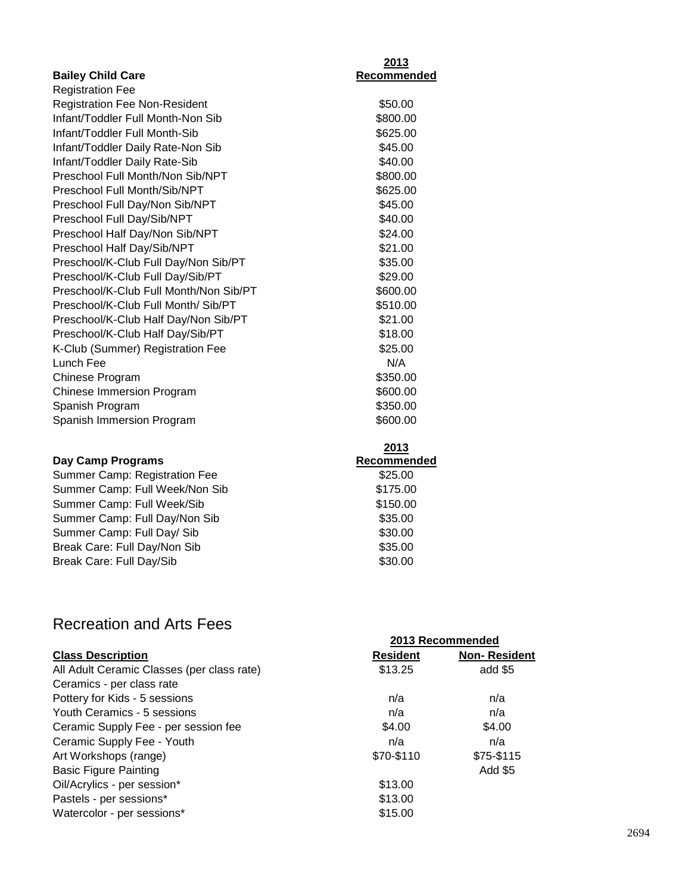|                                        | <u>2013</u>        |
|----------------------------------------|--------------------|
| <b>Bailey Child Care</b>               | <b>Recommended</b> |
| <b>Registration Fee</b>                |                    |
| <b>Registration Fee Non-Resident</b>   | \$50.00            |
| Infant/Toddler Full Month-Non Sib      | \$800.00           |
| Infant/Toddler Full Month-Sib          | \$625.00           |
| Infant/Toddler Daily Rate-Non Sib      | \$45.00            |
| Infant/Toddler Daily Rate-Sib          | \$40.00            |
| Preschool Full Month/Non Sib/NPT       | \$800.00           |
| Preschool Full Month/Sib/NPT           | \$625.00           |
| Preschool Full Day/Non Sib/NPT         | \$45.00            |
| Preschool Full Day/Sib/NPT             | \$40.00            |
| Preschool Half Day/Non Sib/NPT         | \$24.00            |
| Preschool Half Day/Sib/NPT             | \$21.00            |
| Preschool/K-Club Full Day/Non Sib/PT   | \$35.00            |
| Preschool/K-Club Full Day/Sib/PT       | \$29.00            |
| Preschool/K-Club Full Month/Non Sib/PT | \$600.00           |
| Preschool/K-Club Full Month/ Sib/PT    | \$510.00           |
| Preschool/K-Club Half Day/Non Sib/PT   | \$21.00            |
| Preschool/K-Club Half Day/Sib/PT       | \$18.00            |
| K-Club (Summer) Registration Fee       | \$25.00            |
| Lunch Fee                              | N/A                |
| Chinese Program                        | \$350.00           |
| <b>Chinese Immersion Program</b>       | \$600.00           |
| Spanish Program                        | \$350.00           |
| Spanish Immersion Program              | \$600.00           |
|                                        | 2013               |
| <b>Day Camp Programs</b>               | Recommended        |
| Summer Camp: Registration Fee          | \$25.00            |
| Summer Camp: Full Week/Non Sib         | \$175.00           |
| $\ldots \wedge \ldots \wedge \cdots$   | 0.1500             |

| Summer Camp: Full Week/Sib    | \$150.00 |
|-------------------------------|----------|
| Summer Camp: Full Day/Non Sib | \$35.00  |
| Summer Camp: Full Day/ Sib    | \$30.00  |
| Break Care: Full Day/Non Sib  | \$35.00  |
| Break Care: Full Day/Sib      | \$30.00  |
|                               |          |

## Recreation and Arts Fees

|                                            | 2013 Recommended |                     |  |
|--------------------------------------------|------------------|---------------------|--|
| <b>Class Description</b>                   | <b>Resident</b>  | <b>Non-Resident</b> |  |
| All Adult Ceramic Classes (per class rate) | \$13.25          | add \$5             |  |
| Ceramics - per class rate                  |                  |                     |  |
| Pottery for Kids - 5 sessions              | n/a              | n/a                 |  |
| Youth Ceramics - 5 sessions                | n/a              | n/a                 |  |
| Ceramic Supply Fee - per session fee       | \$4.00           | \$4.00              |  |
| Ceramic Supply Fee - Youth                 | n/a              | n/a                 |  |
| Art Workshops (range)                      | \$70-\$110       | \$75-\$115          |  |
| <b>Basic Figure Painting</b>               |                  | Add \$5             |  |
| Oil/Acrylics - per session*                | \$13.00          |                     |  |
| Pastels - per sessions*                    | \$13.00          |                     |  |
| Watercolor - per sessions*                 | \$15.00          |                     |  |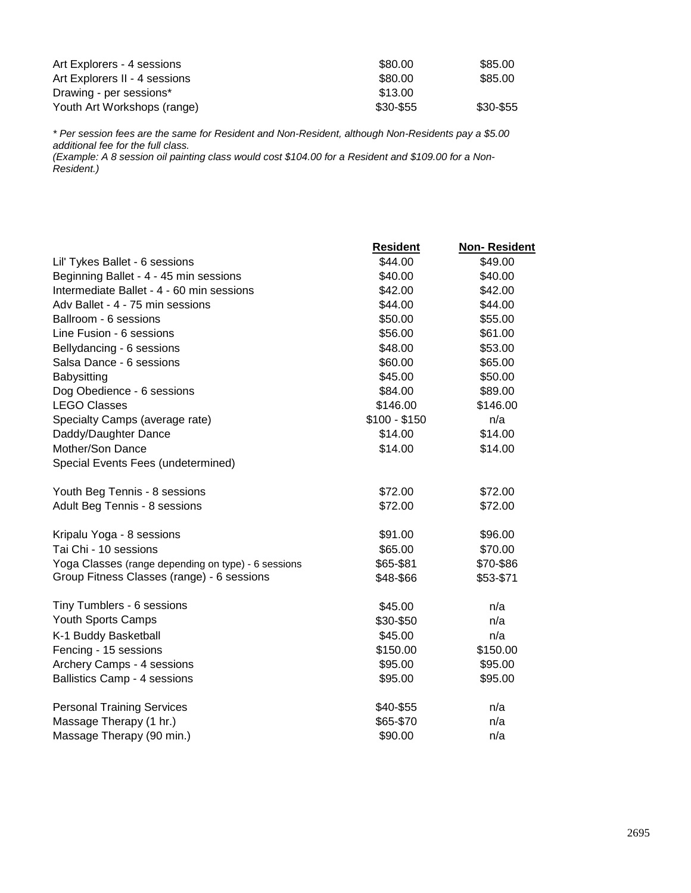| Art Explorers - 4 sessions    | \$80.00   | \$85.00   |
|-------------------------------|-----------|-----------|
| Art Explorers II - 4 sessions | \$80.00   | \$85.00   |
| Drawing - per sessions*       | \$13.00   |           |
| Youth Art Workshops (range)   | \$30-\$55 | \$30-\$55 |

*\* Per session fees are the same for Resident and Non-Resident, although Non-Residents pay a \$5.00 additional fee for the full class.*

*(Example: A 8 session oil painting class would cost \$104.00 for a Resident and \$109.00 for a Non-Resident.)*

|                                                     | <b>Resident</b> | <b>Non-Resident</b> |
|-----------------------------------------------------|-----------------|---------------------|
| Lil' Tykes Ballet - 6 sessions                      | \$44.00         | \$49.00             |
| Beginning Ballet - 4 - 45 min sessions              | \$40.00         | \$40.00             |
| Intermediate Ballet - 4 - 60 min sessions           | \$42.00         | \$42.00             |
| Adv Ballet - 4 - 75 min sessions                    | \$44.00         | \$44.00             |
| Ballroom - 6 sessions                               | \$50.00         | \$55.00             |
| Line Fusion - 6 sessions                            | \$56.00         | \$61.00             |
| Bellydancing - 6 sessions                           | \$48.00         | \$53.00             |
| Salsa Dance - 6 sessions                            | \$60.00         | \$65.00             |
| Babysitting                                         | \$45.00         | \$50.00             |
| Dog Obedience - 6 sessions                          | \$84.00         | \$89.00             |
| <b>LEGO Classes</b>                                 | \$146.00        | \$146.00            |
| Specialty Camps (average rate)                      | $$100 - $150$   | n/a                 |
| Daddy/Daughter Dance                                | \$14.00         | \$14.00             |
| Mother/Son Dance                                    | \$14.00         | \$14.00             |
| Special Events Fees (undetermined)                  |                 |                     |
| Youth Beg Tennis - 8 sessions                       | \$72.00         | \$72.00             |
| Adult Beg Tennis - 8 sessions                       | \$72.00         | \$72.00             |
| Kripalu Yoga - 8 sessions                           | \$91.00         | \$96.00             |
| Tai Chi - 10 sessions                               | \$65.00         | \$70.00             |
| Yoga Classes (range depending on type) - 6 sessions | \$65-\$81       | \$70-\$86           |
| Group Fitness Classes (range) - 6 sessions          | \$48-\$66       | \$53-\$71           |
| Tiny Tumblers - 6 sessions                          | \$45.00         | n/a                 |
| Youth Sports Camps                                  | \$30-\$50       | n/a                 |
| K-1 Buddy Basketball                                | \$45.00         | n/a                 |
| Fencing - 15 sessions                               | \$150.00        | \$150.00            |
| Archery Camps - 4 sessions                          | \$95.00         | \$95.00             |
| <b>Ballistics Camp - 4 sessions</b>                 | \$95.00         | \$95.00             |
| <b>Personal Training Services</b>                   | \$40-\$55       | n/a                 |
| Massage Therapy (1 hr.)                             | \$65-\$70       | n/a                 |
| Massage Therapy (90 min.)                           | \$90.00         | n/a                 |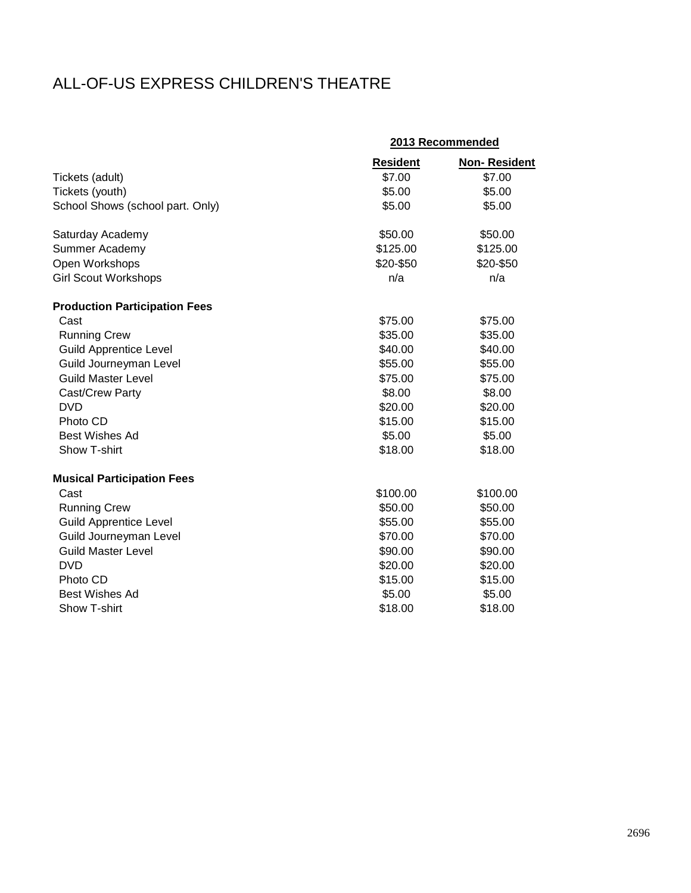## ALL-OF-US EXPRESS CHILDREN'S THEATRE

|                                      |                 | 2013 Recommended    |
|--------------------------------------|-----------------|---------------------|
|                                      | <b>Resident</b> | <b>Non-Resident</b> |
| Tickets (adult)                      | \$7.00          | \$7.00              |
| Tickets (youth)                      | \$5.00          | \$5.00              |
| School Shows (school part. Only)     | \$5.00          | \$5.00              |
| Saturday Academy                     | \$50.00         | \$50.00             |
| Summer Academy                       | \$125.00        | \$125.00            |
| Open Workshops                       | \$20-\$50       | \$20-\$50           |
| <b>Girl Scout Workshops</b>          | n/a             | n/a                 |
| <b>Production Participation Fees</b> |                 |                     |
| Cast                                 | \$75.00         | \$75.00             |
| <b>Running Crew</b>                  | \$35.00         | \$35.00             |
| <b>Guild Apprentice Level</b>        | \$40.00         | \$40.00             |
| Guild Journeyman Level               | \$55.00         | \$55.00             |
| <b>Guild Master Level</b>            | \$75.00         | \$75.00             |
| Cast/Crew Party                      | \$8.00          | \$8.00              |
| <b>DVD</b>                           | \$20.00         | \$20.00             |
| Photo CD                             | \$15.00         | \$15.00             |
| <b>Best Wishes Ad</b>                | \$5.00          | \$5.00              |
| Show T-shirt                         | \$18.00         | \$18.00             |
| <b>Musical Participation Fees</b>    |                 |                     |
| Cast                                 | \$100.00        | \$100.00            |
| <b>Running Crew</b>                  | \$50.00         | \$50.00             |
| <b>Guild Apprentice Level</b>        | \$55.00         | \$55.00             |
| Guild Journeyman Level               | \$70.00         | \$70.00             |
| <b>Guild Master Level</b>            | \$90.00         | \$90.00             |
| <b>DVD</b>                           | \$20.00         | \$20.00             |
| Photo CD                             | \$15.00         | \$15.00             |
| <b>Best Wishes Ad</b>                | \$5.00          | \$5.00              |
| Show T-shirt                         | \$18.00         | \$18.00             |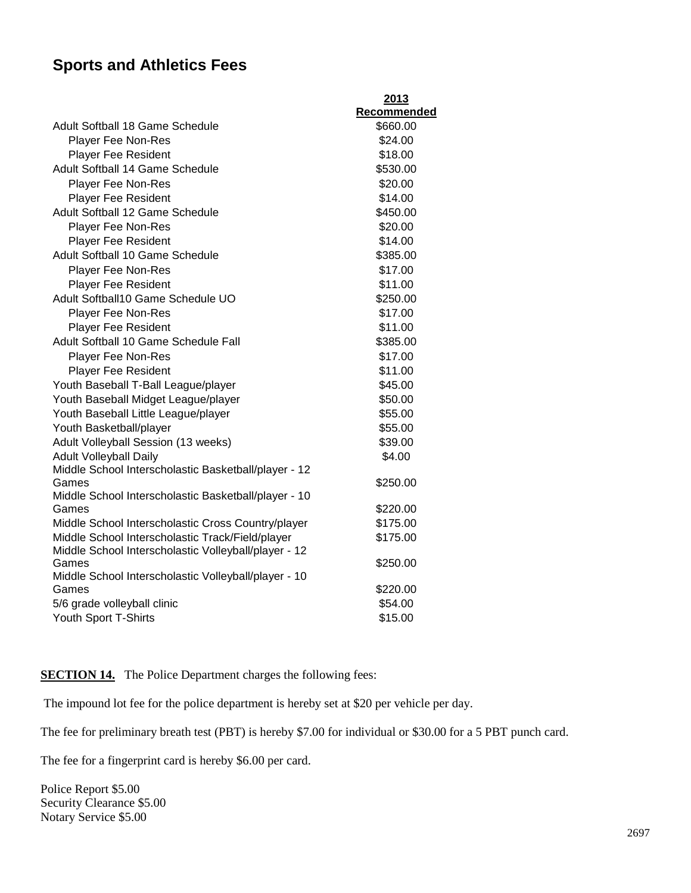## **Sports and Athletics Fees**

|                                                               | 2013        |
|---------------------------------------------------------------|-------------|
|                                                               | Recommended |
| Adult Softball 18 Game Schedule                               | \$660.00    |
| <b>Player Fee Non-Res</b>                                     | \$24.00     |
| <b>Player Fee Resident</b>                                    | \$18.00     |
| Adult Softball 14 Game Schedule                               | \$530.00    |
| <b>Player Fee Non-Res</b>                                     | \$20.00     |
| <b>Player Fee Resident</b>                                    | \$14.00     |
| Adult Softball 12 Game Schedule                               | \$450.00    |
| <b>Player Fee Non-Res</b>                                     | \$20.00     |
| <b>Player Fee Resident</b>                                    | \$14.00     |
| Adult Softball 10 Game Schedule                               | \$385.00    |
| <b>Player Fee Non-Res</b>                                     | \$17.00     |
| <b>Player Fee Resident</b>                                    | \$11.00     |
| Adult Softball10 Game Schedule UO                             | \$250.00    |
| <b>Player Fee Non-Res</b>                                     | \$17.00     |
| Player Fee Resident                                           | \$11.00     |
| Adult Softball 10 Game Schedule Fall                          | \$385.00    |
| <b>Player Fee Non-Res</b>                                     | \$17.00     |
| <b>Player Fee Resident</b>                                    | \$11.00     |
| Youth Baseball T-Ball League/player                           | \$45.00     |
| Youth Baseball Midget League/player                           | \$50.00     |
| Youth Baseball Little League/player                           | \$55.00     |
| Youth Basketball/player                                       | \$55.00     |
| Adult Volleyball Session (13 weeks)                           | \$39.00     |
| <b>Adult Volleyball Daily</b>                                 | \$4.00      |
| Middle School Interscholastic Basketball/player - 12          |             |
| Games                                                         | \$250.00    |
| Middle School Interscholastic Basketball/player - 10          |             |
| Games                                                         | \$220.00    |
| Middle School Interscholastic Cross Country/player            | \$175.00    |
| Middle School Interscholastic Track/Field/player              | \$175.00    |
| Middle School Interscholastic Volleyball/player - 12<br>Games | \$250.00    |
| Middle School Interscholastic Volleyball/player - 10          |             |
| Games                                                         | \$220.00    |
| 5/6 grade volleyball clinic                                   | \$54.00     |
| Youth Sport T-Shirts                                          | \$15.00     |
|                                                               |             |

**SECTION 14.** The Police Department charges the following fees:

The impound lot fee for the police department is hereby set at \$20 per vehicle per day.

The fee for preliminary breath test (PBT) is hereby \$7.00 for individual or \$30.00 for a 5 PBT punch card.

The fee for a fingerprint card is hereby \$6.00 per card.

Police Report \$5.00 Security Clearance \$5.00 Notary Service \$5.00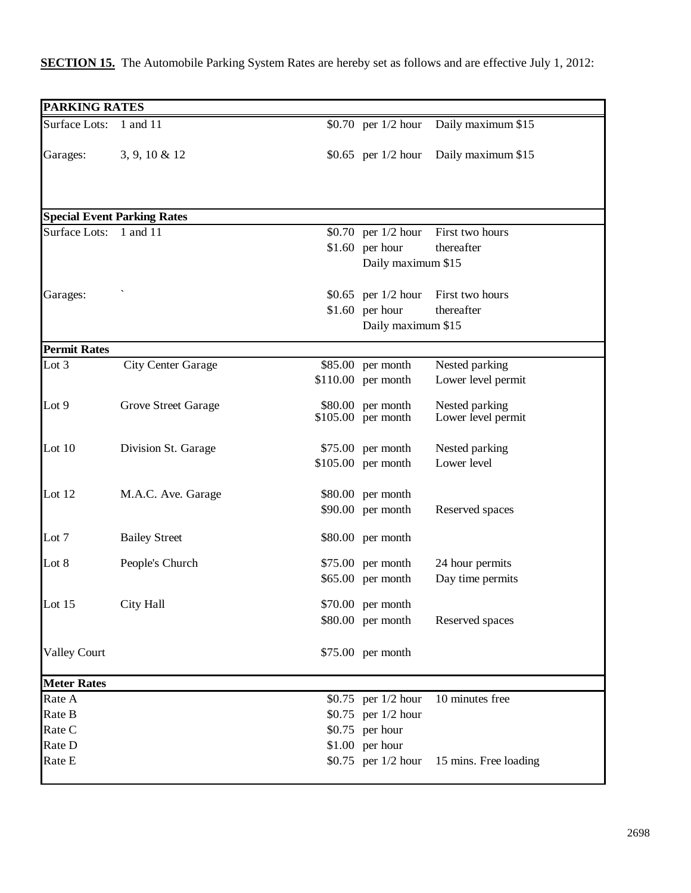| <b>PARKING RATES</b>           |                                    |                       |                               |
|--------------------------------|------------------------------------|-----------------------|-------------------------------|
| <b>Surface Lots:</b>           | 1 and 11                           | \$0.70 per $1/2$ hour | Daily maximum \$15            |
|                                |                                    |                       |                               |
| Garages:                       | $3, 9, 10 \& 12$                   | \$0.65 per $1/2$ hour | Daily maximum \$15            |
|                                |                                    |                       |                               |
|                                |                                    |                       |                               |
|                                |                                    |                       |                               |
|                                | <b>Special Event Parking Rates</b> |                       |                               |
| <b>Surface Lots:</b>           | 1 and 11                           | \$0.70 per $1/2$ hour | First two hours<br>thereafter |
|                                |                                    | $$1.60$ per hour      |                               |
|                                |                                    | Daily maximum \$15    |                               |
| Garages:                       |                                    | \$0.65 per $1/2$ hour | First two hours               |
|                                |                                    | $$1.60$ per hour      | thereafter                    |
|                                |                                    | Daily maximum \$15    |                               |
|                                |                                    |                       |                               |
| <b>Permit Rates</b><br>Lot $3$ | <b>City Center Garage</b>          | \$85.00 per month     | Nested parking                |
|                                |                                    | $$110.00$ per month   | Lower level permit            |
|                                |                                    |                       |                               |
| Lot 9                          | <b>Grove Street Garage</b>         | \$80.00 per month     | Nested parking                |
|                                |                                    | \$105.00 per month    | Lower level permit            |
| Lot $10$                       | Division St. Garage                | $$75.00$ per month    | Nested parking                |
|                                |                                    | \$105.00 per month    | Lower level                   |
|                                |                                    |                       |                               |
| Lot $12$                       | M.A.C. Ave. Garage                 | \$80.00 per month     |                               |
|                                |                                    | $$90.00$ per month    | Reserved spaces               |
| Lot 7                          |                                    | \$80.00 per month     |                               |
|                                | <b>Bailey Street</b>               |                       |                               |
| Lot 8                          | People's Church                    | $$75.00$ per month    | 24 hour permits               |
|                                |                                    | \$65.00 per month     | Day time permits              |
| Lot 15                         | City Hall                          | \$70.00 per month     |                               |
|                                |                                    | \$80.00 per month     | Reserved spaces               |
|                                |                                    |                       |                               |
| <b>Valley Court</b>            |                                    | \$75.00 per month     |                               |
|                                |                                    |                       |                               |
| <b>Meter Rates</b>             |                                    |                       |                               |
| Rate A                         |                                    | \$0.75 per $1/2$ hour | 10 minutes free               |
| Rate B                         |                                    | \$0.75 per 1/2 hour   |                               |
| Rate C                         |                                    | $$0.75$ per hour      |                               |
| Rate D                         |                                    | \$1.00 per hour       |                               |
| Rate E                         |                                    | \$0.75 per 1/2 hour   | 15 mins. Free loading         |
|                                |                                    |                       |                               |

### **SECTION 15.** The Automobile Parking System Rates are hereby set as follows and are effective July 1, 2012: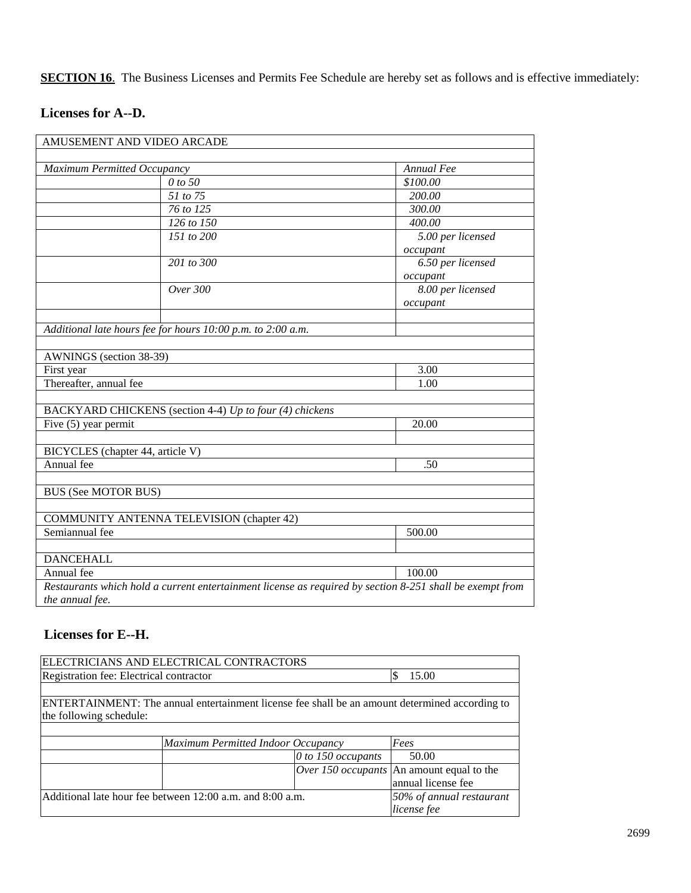**SECTION 16**. The Business Licenses and Permits Fee Schedule are hereby set as follows and is effective immediately:

### **Licenses for A--D.**

|                                  | AMUSEMENT AND VIDEO ARCADE                                  |                                                                                                          |
|----------------------------------|-------------------------------------------------------------|----------------------------------------------------------------------------------------------------------|
| Maximum Permitted Occupancy      |                                                             | Annual Fee                                                                                               |
|                                  | 0 to 50                                                     | \$100.00                                                                                                 |
|                                  | 51 to 75                                                    | 200.00                                                                                                   |
|                                  | 76 to 125                                                   | 300.00                                                                                                   |
|                                  | $126$ to $150$                                              | 400.00                                                                                                   |
|                                  | 151 to 200                                                  | 5.00 per licensed                                                                                        |
|                                  |                                                             | occupant                                                                                                 |
|                                  | $\overline{201}$ to $\overline{300}$                        | 6.50 per licensed                                                                                        |
|                                  |                                                             | occupant                                                                                                 |
|                                  | Over 300                                                    | 8.00 per licensed                                                                                        |
|                                  |                                                             | occupant                                                                                                 |
|                                  | Additional late hours fee for hours 10:00 p.m. to 2:00 a.m. |                                                                                                          |
| AWNINGS (section 38-39)          |                                                             |                                                                                                          |
| First year                       |                                                             | 3.00                                                                                                     |
| Thereafter, annual fee           |                                                             | 1.00                                                                                                     |
|                                  | BACKYARD CHICKENS (section 4-4) Up to four (4) chickens     |                                                                                                          |
| Five (5) year permit             |                                                             | 20.00                                                                                                    |
|                                  |                                                             |                                                                                                          |
| BICYCLES (chapter 44, article V) |                                                             |                                                                                                          |
| Annual fee                       |                                                             | .50                                                                                                      |
| <b>BUS (See MOTOR BUS)</b>       |                                                             |                                                                                                          |
|                                  |                                                             |                                                                                                          |
|                                  | <b>COMMUNITY ANTENNA TELEVISION (chapter 42)</b>            |                                                                                                          |
| Semiannual fee                   |                                                             | 500.00                                                                                                   |
| <b>DANCEHALL</b>                 |                                                             |                                                                                                          |
| Annual fee                       |                                                             | 100.00                                                                                                   |
| the annual fee.                  |                                                             | Restaurants which hold a current entertainment license as required by section 8-251 shall be exempt from |

### **Licenses for E--H.**

| ELECTRICIANS AND ELECTRICAL CONTRACTORS                   |                                                                                                |  |
|-----------------------------------------------------------|------------------------------------------------------------------------------------------------|--|
| Registration fee: Electrical contractor                   | 15.00                                                                                          |  |
|                                                           |                                                                                                |  |
|                                                           | ENTERTAINMENT: The annual entertainment license fee shall be an amount determined according to |  |
| the following schedule:                                   |                                                                                                |  |
|                                                           |                                                                                                |  |
| Maximum Permitted Indoor Occupancy                        | Fees                                                                                           |  |
|                                                           | $\theta$ to 150 occupants<br>50.00                                                             |  |
|                                                           | <i>Over 150 occupants</i> An amount equal to the                                               |  |
|                                                           | annual license fee                                                                             |  |
| Additional late hour fee between 12:00 a.m. and 8:00 a.m. | 50% of annual restaurant                                                                       |  |
|                                                           | license fee                                                                                    |  |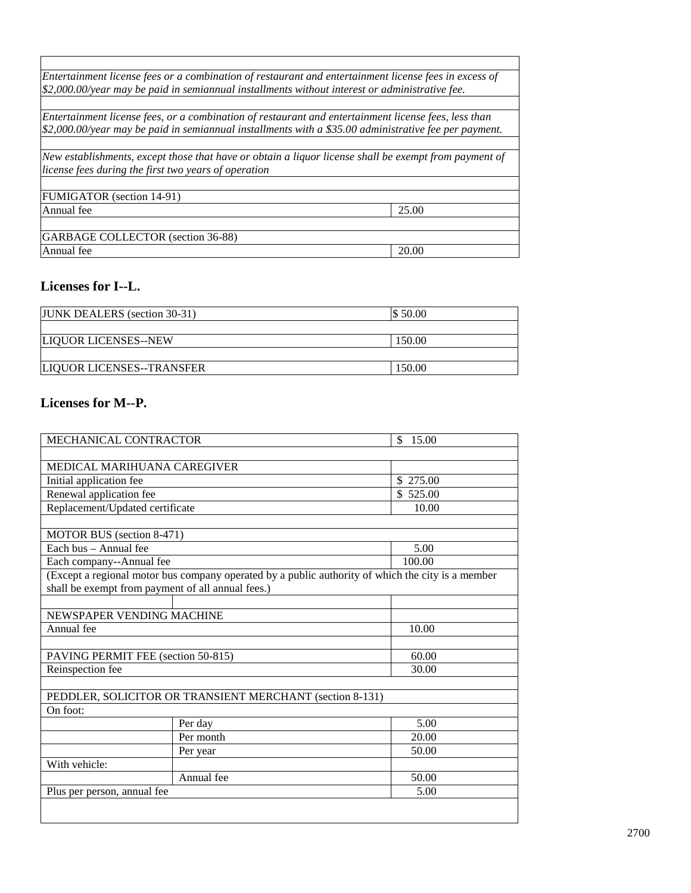|                                                      | Entertainment license fees or a combination of restaurant and entertainment license fees in excess of         |
|------------------------------------------------------|---------------------------------------------------------------------------------------------------------------|
|                                                      | \$2,000.00/year may be paid in semiannual installments without interest or administrative fee.                |
|                                                      |                                                                                                               |
|                                                      | Entertainment license fees, or a combination of restaurant and entertainment license fees, less than          |
|                                                      | $$2,000.00/\text{year}$ may be paid in semiannual installments with a \$35.00 administrative fee per payment. |
|                                                      |                                                                                                               |
|                                                      | New establishments, except those that have or obtain a liquor license shall be exempt from payment of         |
| license fees during the first two years of operation |                                                                                                               |
|                                                      |                                                                                                               |
| FUMIGATOR (section 14-91)                            |                                                                                                               |
| Annual fee                                           | 25.00                                                                                                         |
|                                                      |                                                                                                               |
| GARBAGE COLLECTOR (section 36-88)                    |                                                                                                               |
| Annual fee                                           | 20.00                                                                                                         |
|                                                      |                                                                                                               |

٦

### **Licenses for I--L.**

| <b>JUNK DEALERS</b> (section 30-31) | \$50.00 |
|-------------------------------------|---------|
|                                     |         |
| LIQUOR LICENSES--NEW                | 150.00  |
|                                     |         |
| <b>LIQUOR LICENSES--TRANSFER</b>    | 150.00  |

### **Licenses for M--P.**

| MECHANICAL CONTRACTOR              |                                                          | 15.00<br>\$                                                                                       |
|------------------------------------|----------------------------------------------------------|---------------------------------------------------------------------------------------------------|
|                                    |                                                          |                                                                                                   |
| MEDICAL MARIHUANA CAREGIVER        |                                                          |                                                                                                   |
| Initial application fee            |                                                          | \$ 275.00                                                                                         |
| Renewal application fee            |                                                          | \$525.00                                                                                          |
| Replacement/Updated certificate    |                                                          | 10.00                                                                                             |
|                                    |                                                          |                                                                                                   |
| MOTOR BUS (section 8-471)          |                                                          |                                                                                                   |
| Each bus - Annual fee              |                                                          | 5.00                                                                                              |
| Each company--Annual fee           |                                                          | 100.00                                                                                            |
|                                    |                                                          | (Except a regional motor bus company operated by a public authority of which the city is a member |
|                                    | shall be exempt from payment of all annual fees.)        |                                                                                                   |
|                                    |                                                          |                                                                                                   |
| NEWSPAPER VENDING MACHINE          |                                                          |                                                                                                   |
| Annual fee                         |                                                          | 10.00                                                                                             |
|                                    |                                                          |                                                                                                   |
| PAVING PERMIT FEE (section 50-815) |                                                          | 60.00                                                                                             |
| Reinspection fee                   |                                                          | 30.00                                                                                             |
|                                    |                                                          |                                                                                                   |
|                                    | PEDDLER, SOLICITOR OR TRANSIENT MERCHANT (section 8-131) |                                                                                                   |
| On foot:                           |                                                          |                                                                                                   |
|                                    | Per day                                                  | 5.00                                                                                              |
|                                    | Per month                                                | 20.00                                                                                             |
|                                    | Per year                                                 | 50.00                                                                                             |
| With vehicle:                      |                                                          |                                                                                                   |
|                                    | Annual fee                                               | 50.00                                                                                             |
| Plus per person, annual fee        |                                                          | 5.00                                                                                              |
|                                    |                                                          |                                                                                                   |
|                                    |                                                          |                                                                                                   |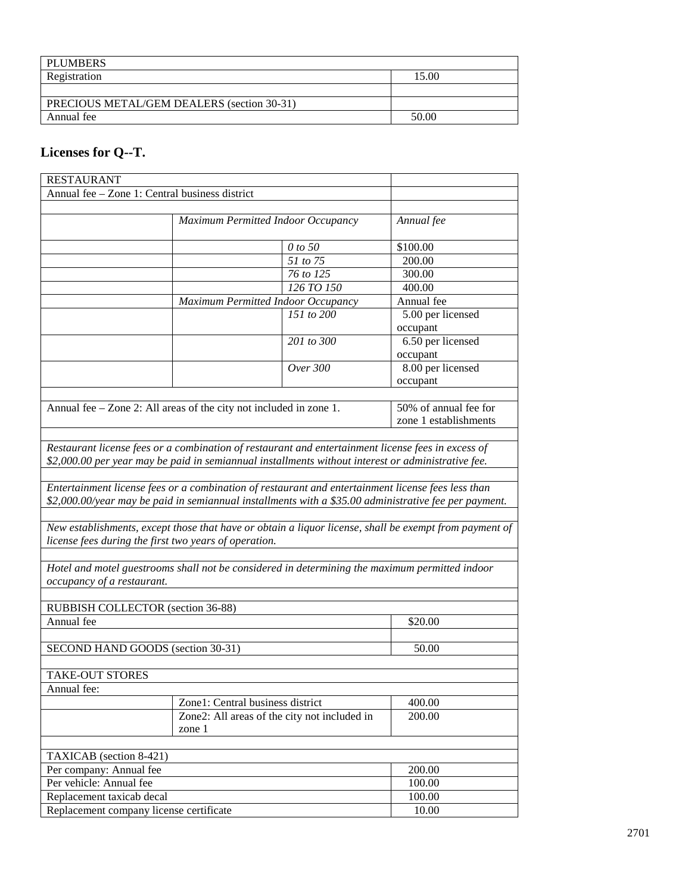| <b>PLUMBERS</b>                            |       |
|--------------------------------------------|-------|
| Registration                               | 15.00 |
|                                            |       |
| PRECIOUS METAL/GEM DEALERS (section 30-31) |       |
| Annual fee                                 | 50.00 |

## **Licenses for Q--T.**

| <b>RESTAURANT</b>                                     |                                                                                                                                                                                                                                                                                                                                                                                                                             |                                    |                                                |  |
|-------------------------------------------------------|-----------------------------------------------------------------------------------------------------------------------------------------------------------------------------------------------------------------------------------------------------------------------------------------------------------------------------------------------------------------------------------------------------------------------------|------------------------------------|------------------------------------------------|--|
| Annual fee - Zone 1: Central business district        |                                                                                                                                                                                                                                                                                                                                                                                                                             |                                    |                                                |  |
|                                                       |                                                                                                                                                                                                                                                                                                                                                                                                                             |                                    |                                                |  |
|                                                       | Maximum Permitted Indoor Occupancy                                                                                                                                                                                                                                                                                                                                                                                          |                                    | Annual fee                                     |  |
|                                                       |                                                                                                                                                                                                                                                                                                                                                                                                                             | 0 to 50                            | \$100.00                                       |  |
|                                                       |                                                                                                                                                                                                                                                                                                                                                                                                                             | $\overline{51}$ to $\overline{75}$ | 200.00                                         |  |
|                                                       |                                                                                                                                                                                                                                                                                                                                                                                                                             | 76 to 125                          | 300.00                                         |  |
|                                                       |                                                                                                                                                                                                                                                                                                                                                                                                                             | 126 TO 150                         | 400.00                                         |  |
|                                                       | Maximum Permitted Indoor Occupancy                                                                                                                                                                                                                                                                                                                                                                                          |                                    | Annual fee                                     |  |
|                                                       |                                                                                                                                                                                                                                                                                                                                                                                                                             | 151 to $200$                       | 5.00 per licensed<br>occupant                  |  |
|                                                       |                                                                                                                                                                                                                                                                                                                                                                                                                             | 201 to 300                         | 6.50 per licensed<br>occupant                  |  |
|                                                       |                                                                                                                                                                                                                                                                                                                                                                                                                             | Over 300                           | 8.00 per licensed<br>occupant                  |  |
|                                                       | Annual fee – Zone 2: All areas of the city not included in zone 1.                                                                                                                                                                                                                                                                                                                                                          |                                    | 50% of annual fee for<br>zone 1 establishments |  |
| license fees during the first two years of operation. | \$2,000.00 per year may be paid in semiannual installments without interest or administrative fee.<br>Entertainment license fees or a combination of restaurant and entertainment license fees less than<br>\$2,000.00/year may be paid in semiannual installments with a \$35.00 administrative fee per payment.<br>New establishments, except those that have or obtain a liquor license, shall be exempt from payment of |                                    |                                                |  |
| occupancy of a restaurant.                            | Hotel and motel guestrooms shall not be considered in determining the maximum permitted indoor                                                                                                                                                                                                                                                                                                                              |                                    |                                                |  |
| RUBBISH COLLECTOR (section 36-88)                     |                                                                                                                                                                                                                                                                                                                                                                                                                             |                                    |                                                |  |
| Annual fee                                            |                                                                                                                                                                                                                                                                                                                                                                                                                             |                                    | \$20.00                                        |  |
| SECOND HAND GOODS (section 30-31)                     |                                                                                                                                                                                                                                                                                                                                                                                                                             |                                    | 50.00                                          |  |
| TAKE-OUT STORES<br>Annual fee:                        |                                                                                                                                                                                                                                                                                                                                                                                                                             |                                    |                                                |  |
|                                                       | Zone1: Central business district                                                                                                                                                                                                                                                                                                                                                                                            |                                    | 400.00                                         |  |
|                                                       | Zone2: All areas of the city not included in<br>zone 1                                                                                                                                                                                                                                                                                                                                                                      |                                    | 200.00                                         |  |
| TAXICAB (section 8-421)                               |                                                                                                                                                                                                                                                                                                                                                                                                                             |                                    |                                                |  |
|                                                       |                                                                                                                                                                                                                                                                                                                                                                                                                             |                                    | 200.00                                         |  |
| Per company: Annual fee<br>Per vehicle: Annual fee    |                                                                                                                                                                                                                                                                                                                                                                                                                             |                                    | 100.00                                         |  |
| Replacement taxicab decal                             |                                                                                                                                                                                                                                                                                                                                                                                                                             |                                    | 100.00                                         |  |
|                                                       |                                                                                                                                                                                                                                                                                                                                                                                                                             |                                    | 10.00                                          |  |
| Replacement company license certificate               |                                                                                                                                                                                                                                                                                                                                                                                                                             |                                    |                                                |  |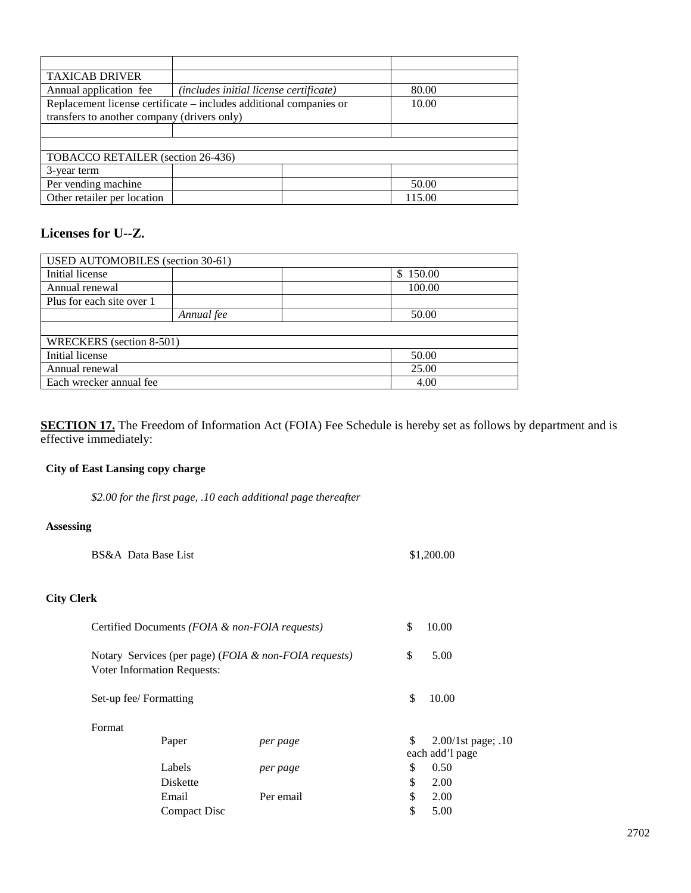| <b>TAXICAB DRIVER</b>                                              |                                        |  |        |
|--------------------------------------------------------------------|----------------------------------------|--|--------|
| Annual application fee                                             | (includes initial license certificate) |  | 80.00  |
| Replacement license certificate – includes additional companies or |                                        |  | 10.00  |
| transfers to another company (drivers only)                        |                                        |  |        |
|                                                                    |                                        |  |        |
|                                                                    |                                        |  |        |
| TOBACCO RETAILER (section 26-436)                                  |                                        |  |        |
| 3-year term                                                        |                                        |  |        |
| Per vending machine                                                |                                        |  | 50.00  |
| Other retailer per location                                        |                                        |  | 115.00 |

#### **Licenses for U--Z.**

| <b>USED AUTOMOBILES</b> (section 30-61) |            |  |          |  |
|-----------------------------------------|------------|--|----------|--|
| Initial license                         |            |  | \$150.00 |  |
| Annual renewal                          |            |  | 100.00   |  |
| Plus for each site over 1               |            |  |          |  |
|                                         | Annual fee |  | 50.00    |  |
|                                         |            |  |          |  |
| WRECKERS (section 8-501)                |            |  |          |  |
| Initial license<br>50.00                |            |  |          |  |
| Annual renewal<br>25.00                 |            |  |          |  |
| Each wrecker annual fee<br>4.00         |            |  |          |  |

**SECTION 17.** The Freedom of Information Act (FOIA) Fee Schedule is hereby set as follows by department and is effective immediately:

#### **City of East Lansing copy charge**

*\$2.00 for the first page, .10 each additional page thereafter*

#### **Assessing**

|                   | BS&A Data Base List    |                                                |                                                       | \$1,200.00                                     |
|-------------------|------------------------|------------------------------------------------|-------------------------------------------------------|------------------------------------------------|
| <b>City Clerk</b> |                        |                                                |                                                       |                                                |
|                   |                        | Certified Documents (FOIA & non-FOIA requests) |                                                       | \$<br>10.00                                    |
|                   |                        | <b>Voter Information Requests:</b>             | Notary Services (per page) (FOIA & non-FOIA requests) | \$<br>5.00                                     |
|                   | Set-up fee/ Formatting |                                                |                                                       | \$<br>10.00                                    |
|                   | Format                 |                                                |                                                       |                                                |
|                   |                        | Paper                                          | per page                                              | \$<br>$2.00/1$ st page; .10<br>each add'l page |
|                   |                        | Labels                                         | per page                                              | \$<br>0.50                                     |
|                   |                        | <b>Diskette</b>                                |                                                       | \$<br>2.00                                     |
|                   |                        | Email                                          | Per email                                             | \$<br>2.00                                     |
|                   |                        | Compact Disc                                   |                                                       | \$<br>5.00                                     |
|                   |                        |                                                |                                                       |                                                |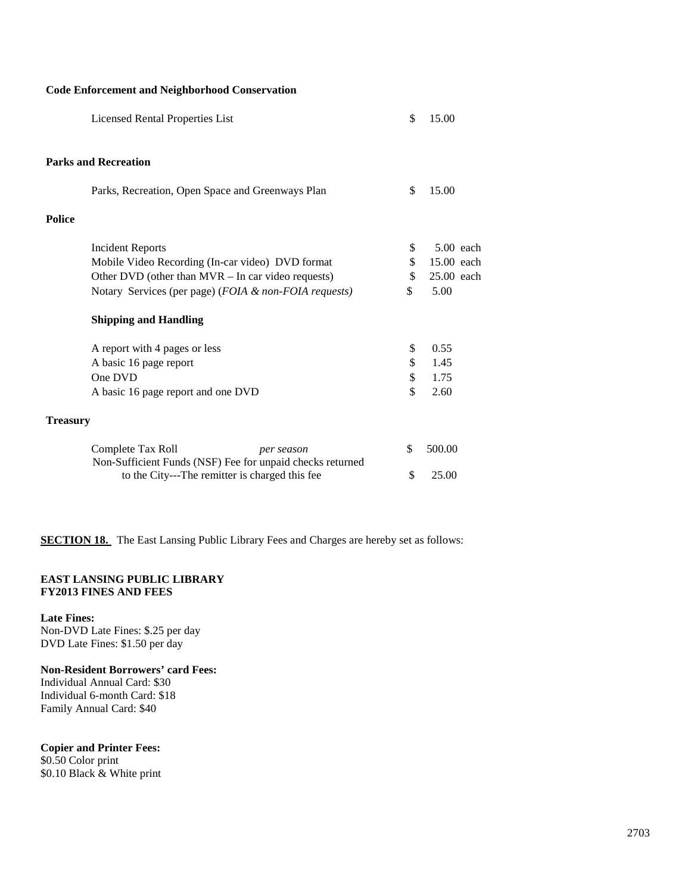#### **Code Enforcement and Neighborhood Conservation**

|                 | Licensed Rental Properties List                                                              | \$<br>15.00       |
|-----------------|----------------------------------------------------------------------------------------------|-------------------|
|                 | <b>Parks and Recreation</b>                                                                  |                   |
|                 | Parks, Recreation, Open Space and Greenways Plan                                             | \$<br>15.00       |
| <b>Police</b>   |                                                                                              |                   |
|                 | <b>Incident Reports</b>                                                                      | \$<br>$5.00$ each |
|                 | Mobile Video Recording (In-car video) DVD format                                             | \$<br>15.00 each  |
|                 | Other DVD (other than $MVR$ – In car video requests)                                         | \$<br>25.00 each  |
|                 | Notary Services (per page) (FOIA & non-FOIA requests)                                        | \$<br>5.00        |
|                 | <b>Shipping and Handling</b>                                                                 |                   |
|                 | A report with 4 pages or less                                                                | \$<br>0.55        |
|                 | A basic 16 page report                                                                       | \$<br>1.45        |
|                 | One DVD                                                                                      | \$<br>1.75        |
|                 | A basic 16 page report and one DVD                                                           | \$<br>2.60        |
| <b>Treasury</b> |                                                                                              |                   |
|                 | Complete Tax Roll<br>per season<br>Non-Sufficient Funds (NSF) Fee for unpaid checks returned | \$<br>500.00      |
|                 | to the City---The remitter is charged this fee                                               | \$<br>25.00       |

**SECTION 18.** The East Lansing Public Library Fees and Charges are hereby set as follows:

#### **EAST LANSING PUBLIC LIBRARY FY2013 FINES AND FEES**

**Late Fines:**

Non-DVD Late Fines: \$.25 per day DVD Late Fines: \$1.50 per day

#### **Non-Resident Borrowers' card Fees:**

Individual Annual Card: \$30 Individual 6-month Card: \$18 Family Annual Card: \$40

#### **Copier and Printer Fees:**

\$0.50 Color print \$0.10 Black & White print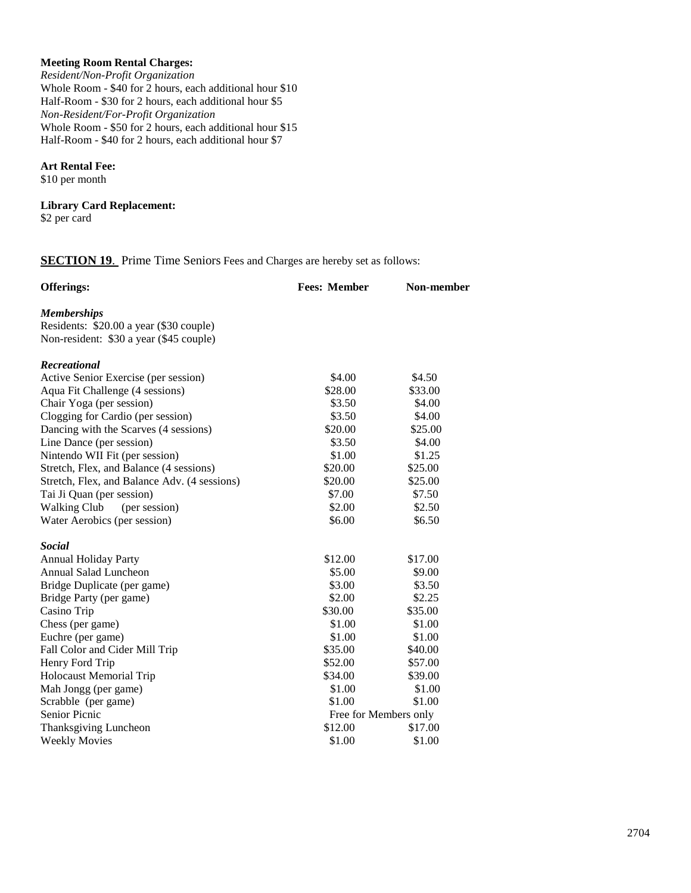#### **Meeting Room Rental Charges:**

*Resident/Non-Profit Organization* Whole Room - \$40 for 2 hours, each additional hour \$10 Half-Room - \$30 for 2 hours, each additional hour \$5 *Non-Resident/For-Profit Organization* Whole Room - \$50 for 2 hours, each additional hour \$15 Half-Room - \$40 for 2 hours, each additional hour \$7

#### **Art Rental Fee:**

\$10 per month

## **Library Card Replacement:**

\$2 per card

#### **SECTION 19.** Prime Time Seniors Fees and Charges are hereby set as follows:

| <b>Offerings:</b>                            | <b>Fees: Member</b>   | Non-member |
|----------------------------------------------|-----------------------|------------|
| <b>Memberships</b>                           |                       |            |
| Residents: \$20.00 a year (\$30 couple)      |                       |            |
| Non-resident: \$30 a year (\$45 couple)      |                       |            |
| <b>Recreational</b>                          |                       |            |
| Active Senior Exercise (per session)         | \$4.00                | \$4.50     |
| Aqua Fit Challenge (4 sessions)              | \$28.00               | \$33.00    |
| Chair Yoga (per session)                     | \$3.50                | \$4.00     |
| Clogging for Cardio (per session)            | \$3.50                | \$4.00     |
| Dancing with the Scarves (4 sessions)        | \$20.00               | \$25.00    |
| Line Dance (per session)                     | \$3.50                | \$4.00     |
| Nintendo WII Fit (per session)               | \$1.00                | \$1.25     |
| Stretch, Flex, and Balance (4 sessions)      | \$20.00               | \$25.00    |
| Stretch, Flex, and Balance Adv. (4 sessions) | \$20.00               | \$25.00    |
| Tai Ji Quan (per session)                    | \$7.00                | \$7.50     |
| <b>Walking Club</b><br>(per session)         | \$2.00                | \$2.50     |
| Water Aerobics (per session)                 | \$6.00                | \$6.50     |
| <b>Social</b>                                |                       |            |
| <b>Annual Holiday Party</b>                  | \$12.00               | \$17.00    |
| Annual Salad Luncheon                        | \$5.00                | \$9.00     |
| Bridge Duplicate (per game)                  | \$3.00                | \$3.50     |
| Bridge Party (per game)                      | \$2.00                | \$2.25     |
| Casino Trip                                  | \$30.00               | \$35.00    |
| Chess (per game)                             | \$1.00                | \$1.00     |
| Euchre (per game)                            | \$1.00                | \$1.00     |
| Fall Color and Cider Mill Trip               | \$35.00               | \$40.00    |
| Henry Ford Trip                              | \$52.00               | \$57.00    |
| Holocaust Memorial Trip                      | \$34.00               | \$39.00    |
| Mah Jongg (per game)                         | \$1.00                | \$1.00     |
| Scrabble (per game)                          | \$1.00                | \$1.00     |
| Senior Picnic                                | Free for Members only |            |
| Thanksgiving Luncheon                        | \$12.00               | \$17.00    |
| <b>Weekly Movies</b>                         | \$1.00                | \$1.00     |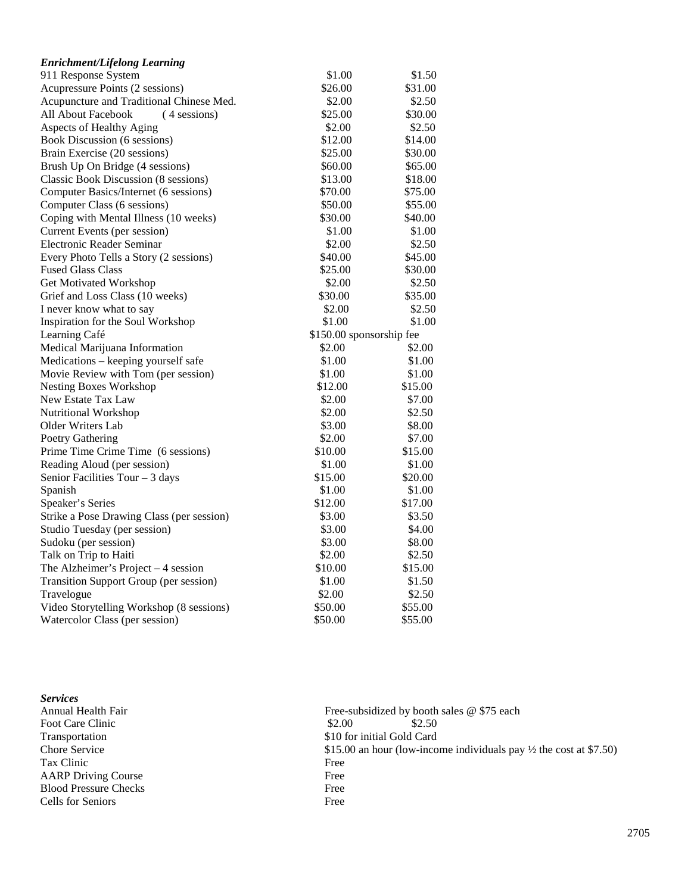| <b>Enrichment/Lifelong Learning</b>           |                          |         |
|-----------------------------------------------|--------------------------|---------|
| 911 Response System                           | \$1.00                   | \$1.50  |
| Acupressure Points (2 sessions)               | \$26.00                  | \$31.00 |
| Acupuncture and Traditional Chinese Med.      | \$2.00                   | \$2.50  |
| All About Facebook<br>(4 sessions)            | \$25.00                  | \$30.00 |
| Aspects of Healthy Aging                      | \$2.00                   | \$2.50  |
| Book Discussion (6 sessions)                  | \$12.00                  | \$14.00 |
| Brain Exercise (20 sessions)                  | \$25.00                  | \$30.00 |
| Brush Up On Bridge (4 sessions)               | \$60.00                  | \$65.00 |
| Classic Book Discussion (8 sessions)          | \$13.00                  | \$18.00 |
| Computer Basics/Internet (6 sessions)         | \$70.00                  | \$75.00 |
| Computer Class (6 sessions)                   | \$50.00                  | \$55.00 |
| Coping with Mental Illness (10 weeks)         | \$30.00                  | \$40.00 |
| Current Events (per session)                  | \$1.00                   | \$1.00  |
| Electronic Reader Seminar                     | \$2.00                   | \$2.50  |
| Every Photo Tells a Story (2 sessions)        | \$40.00                  | \$45.00 |
| <b>Fused Glass Class</b>                      | \$25.00                  | \$30.00 |
| Get Motivated Workshop                        | \$2.00                   | \$2.50  |
| Grief and Loss Class (10 weeks)               | \$30.00                  | \$35.00 |
| I never know what to say                      | \$2.00                   | \$2.50  |
| Inspiration for the Soul Workshop             | \$1.00                   | \$1.00  |
| Learning Café                                 | \$150.00 sponsorship fee |         |
| Medical Marijuana Information                 | \$2.00                   | \$2.00  |
| Medications - keeping yourself safe           | \$1.00                   | \$1.00  |
| Movie Review with Tom (per session)           | \$1.00                   | \$1.00  |
| <b>Nesting Boxes Workshop</b>                 | \$12.00                  | \$15.00 |
| New Estate Tax Law                            | \$2.00                   | \$7.00  |
| Nutritional Workshop                          | \$2.00                   | \$2.50  |
| Older Writers Lab                             | \$3.00                   | \$8.00  |
| <b>Poetry Gathering</b>                       | \$2.00                   | \$7.00  |
| Prime Time Crime Time (6 sessions)            | \$10.00                  | \$15.00 |
| Reading Aloud (per session)                   | \$1.00                   | \$1.00  |
| Senior Facilities Tour $-3$ days              | \$15.00                  | \$20.00 |
| Spanish                                       | \$1.00                   | \$1.00  |
| Speaker's Series                              | \$12.00                  | \$17.00 |
| Strike a Pose Drawing Class (per session)     | \$3.00                   | \$3.50  |
| Studio Tuesday (per session)                  | \$3.00                   | \$4.00  |
| Sudoku (per session)                          | \$3.00                   | \$8.00  |
| Talk on Trip to Haiti                         | \$2.00                   | \$2.50  |
| The Alzheimer's Project $-4$ session          | \$10.00                  | \$15.00 |
| <b>Transition Support Group (per session)</b> | \$1.00                   | \$1.50  |
| Travelogue                                    | \$2.00                   | \$2.50  |
| Video Storytelling Workshop (8 sessions)      | \$50.00                  | \$55.00 |
| Watercolor Class (per session)                | \$50.00                  | \$55.00 |

| Annual Health Fair<br>Foot Care Clinic<br>Transportation<br>Chore Service<br>Tax Clinic<br><b>AARP Driving Course</b><br><b>Blood Pressure Checks</b><br>Cells for Seniors | <b>Services</b> |       |
|----------------------------------------------------------------------------------------------------------------------------------------------------------------------------|-----------------|-------|
|                                                                                                                                                                            |                 | Free  |
|                                                                                                                                                                            |                 | \$2.0 |
|                                                                                                                                                                            |                 | \$10  |
|                                                                                                                                                                            |                 | \$15. |
|                                                                                                                                                                            |                 | Free  |
|                                                                                                                                                                            |                 | Free  |
|                                                                                                                                                                            |                 | Free  |
|                                                                                                                                                                            |                 | Free  |

Annual Health Fair Free-subsidized by booth sales @ \$75 each Foot Care Clinic  $$2.00$   $$2.50$  $\$10$  for initial Gold Card \$15.00 an hour (low-income individuals pay  $\frac{1}{2}$  the cost at \$7.50) Free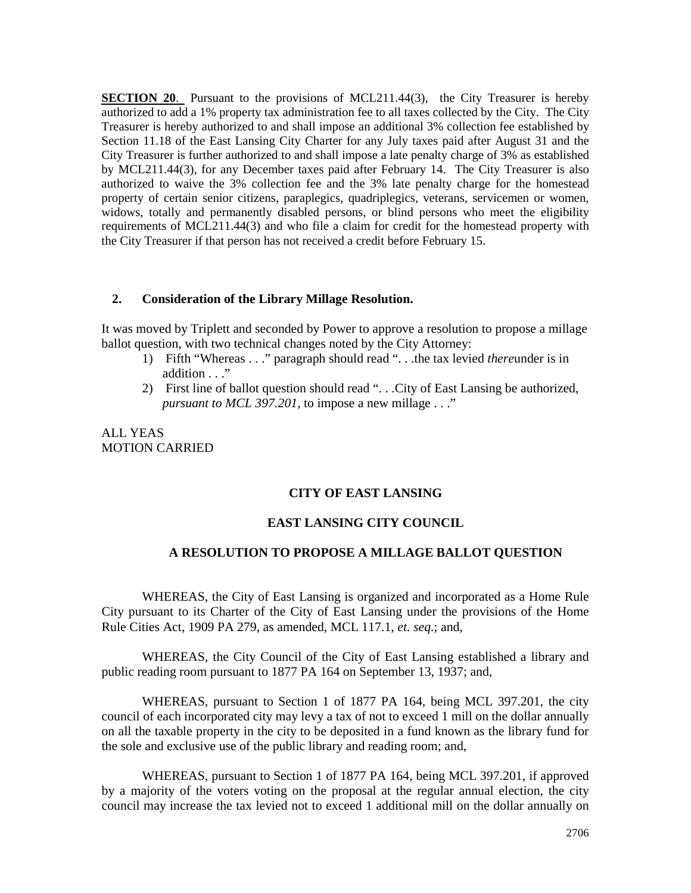**SECTION 20.** Pursuant to the provisions of MCL211.44(3), the City Treasurer is hereby authorized to add a 1% property tax administration fee to all taxes collected by the City. The City Treasurer is hereby authorized to and shall impose an additional 3% collection fee established by Section 11.18 of the East Lansing City Charter for any July taxes paid after August 31 and the City Treasurer is further authorized to and shall impose a late penalty charge of 3% as established by MCL211.44(3), for any December taxes paid after February 14. The City Treasurer is also authorized to waive the 3% collection fee and the 3% late penalty charge for the homestead property of certain senior citizens, paraplegics, quadriplegics, veterans, servicemen or women, widows, totally and permanently disabled persons, or blind persons who meet the eligibility requirements of MCL211.44(3) and who file a claim for credit for the homestead property with the City Treasurer if that person has not received a credit before February 15.

#### **2. Consideration of the Library Millage Resolution.**

It was moved by Triplett and seconded by Power to approve a resolution to propose a millage ballot question, with two technical changes noted by the City Attorney:

- 1) Fifth "Whereas . . ." paragraph should read ". . .the tax levied *there*under is in addition . . ."
- 2) First line of ballot question should read ". . .City of East Lansing be authorized, *pursuant to MCL 397.201*, to impose a new millage . . ."

ALL YEAS MOTION CARRIED

#### **CITY OF EAST LANSING**

#### **EAST LANSING CITY COUNCIL**

#### **A RESOLUTION TO PROPOSE A MILLAGE BALLOT QUESTION**

WHEREAS, the City of East Lansing is organized and incorporated as a Home Rule City pursuant to its Charter of the City of East Lansing under the provisions of the Home Rule Cities Act, 1909 PA 279, as amended, MCL 117.1, *et. seq.*; and,

WHEREAS, the City Council of the City of East Lansing established a library and public reading room pursuant to 1877 PA 164 on September 13, 1937; and,

WHEREAS, pursuant to Section 1 of 1877 PA 164, being MCL 397.201, the city council of each incorporated city may levy a tax of not to exceed 1 mill on the dollar annually on all the taxable property in the city to be deposited in a fund known as the library fund for the sole and exclusive use of the public library and reading room; and,

WHEREAS, pursuant to Section 1 of 1877 PA 164, being MCL 397.201, if approved by a majority of the voters voting on the proposal at the regular annual election, the city council may increase the tax levied not to exceed 1 additional mill on the dollar annually on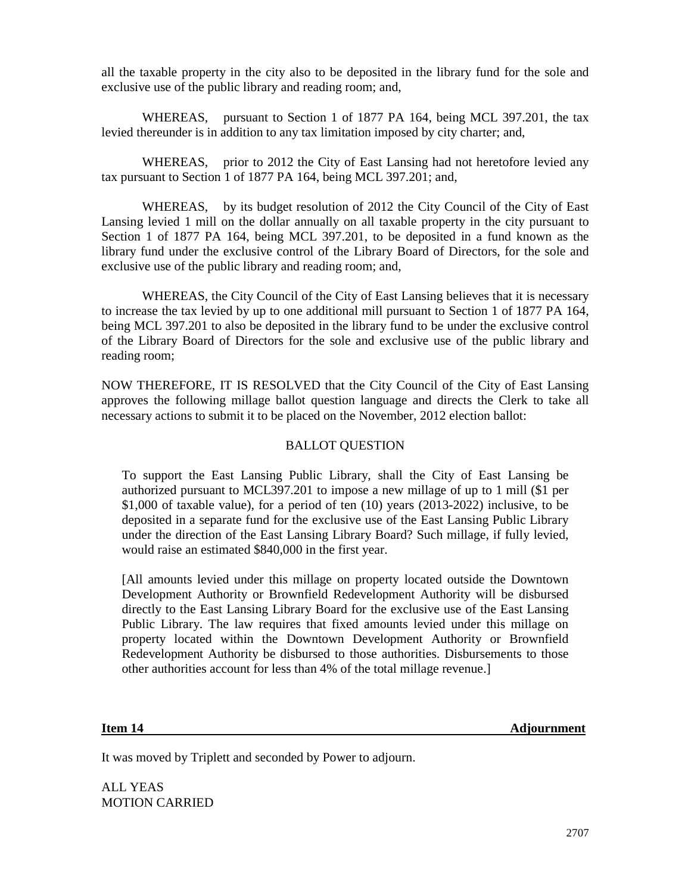all the taxable property in the city also to be deposited in the library fund for the sole and exclusive use of the public library and reading room; and,

WHEREAS, pursuant to Section 1 of 1877 PA 164, being MCL 397.201, the tax levied thereunder is in addition to any tax limitation imposed by city charter; and,

WHEREAS, prior to 2012 the City of East Lansing had not heretofore levied any tax pursuant to Section 1 of 1877 PA 164, being MCL 397.201; and,

WHEREAS, by its budget resolution of 2012 the City Council of the City of East Lansing levied 1 mill on the dollar annually on all taxable property in the city pursuant to Section 1 of 1877 PA 164, being MCL 397.201, to be deposited in a fund known as the library fund under the exclusive control of the Library Board of Directors, for the sole and exclusive use of the public library and reading room; and,

WHEREAS, the City Council of the City of East Lansing believes that it is necessary to increase the tax levied by up to one additional mill pursuant to Section 1 of 1877 PA 164, being MCL 397.201 to also be deposited in the library fund to be under the exclusive control of the Library Board of Directors for the sole and exclusive use of the public library and reading room;

NOW THEREFORE, IT IS RESOLVED that the City Council of the City of East Lansing approves the following millage ballot question language and directs the Clerk to take all necessary actions to submit it to be placed on the November, 2012 election ballot:

#### BALLOT QUESTION

To support the East Lansing Public Library, shall the City of East Lansing be authorized pursuant to MCL397.201 to impose a new millage of up to 1 mill (\$1 per \$1,000 of taxable value), for a period of ten (10) years (2013-2022) inclusive, to be deposited in a separate fund for the exclusive use of the East Lansing Public Library under the direction of the East Lansing Library Board? Such millage, if fully levied, would raise an estimated \$840,000 in the first year.

[All amounts levied under this millage on property located outside the Downtown Development Authority or Brownfield Redevelopment Authority will be disbursed directly to the East Lansing Library Board for the exclusive use of the East Lansing Public Library. The law requires that fixed amounts levied under this millage on property located within the Downtown Development Authority or Brownfield Redevelopment Authority be disbursed to those authorities. Disbursements to those other authorities account for less than 4% of the total millage revenue.]

**Item 14** Adjournment

It was moved by Triplett and seconded by Power to adjourn.

ALL YEAS MOTION CARRIED